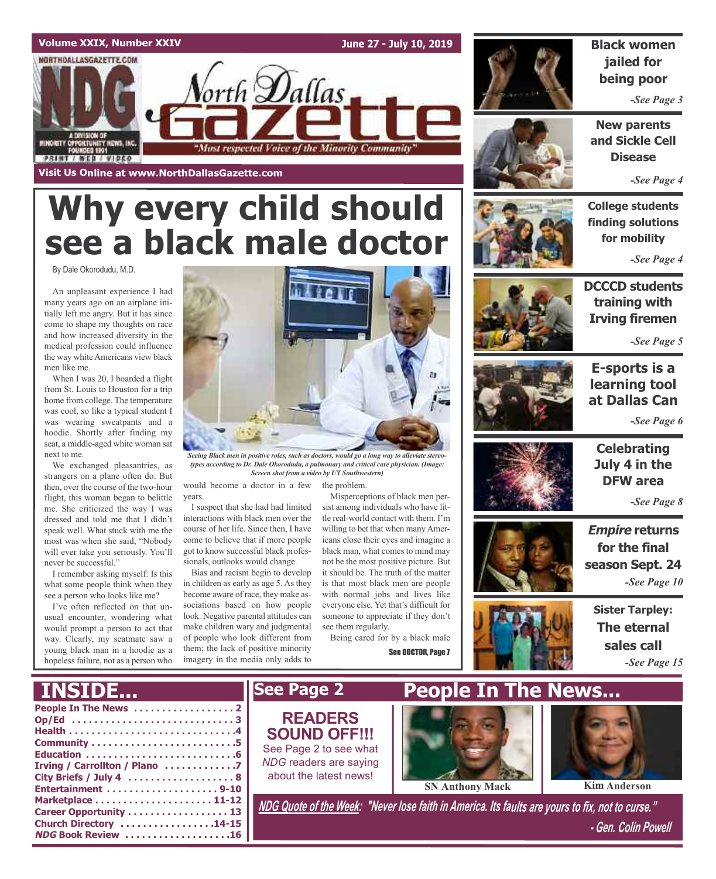### **Volume XXIX, Number XXIV June 27 - July 10, 2019** NORTHDALLASGAZETTE.COM orth **D**allas MINORITY OPPORTUNITY NEWS, INC.<br>FOUNDED 1991 "Most respected Voice of the Minority Community" **PRINT / WEB / VIDEO Visit Us Online at www.NorthDallasGazette.com**

# **Why every child should see a black male doctor**

By Dale Okorodudu, M.D.

An unpleasant experience I had many years ago on an airplane initially left me angry. But it has since come to shape my thoughts on race and how increased diversity in the medical profession could influence the way white Americans view black men like me.

When I was 20, I boarded a flight from St. Louis to Houston for a trip home from college. The temperature was cool, so like a typical student I was wearing sweatpants and a hoodie. Shortly after finding my seat, a middle-aged white woman sat next to me.

We exchanged pleasantries, as strangers on a plane often do. But then, over the course of the two-hour flight, this woman began to belittle me. She criticized the way I was dressed and told me that I didn't speak well. What stuck with me the most was when she said, "Nobody will ever take you seriously. You'll never be successful."

I remember asking myself: Is this what some people think when they see a person who looks like me?

I've often reflected on that unusual encounter, wondering what would prompt a person to act that way. Clearly, my seatmate saw a young black man in a hoodie as a hopeless failure, not as a person who



*Seeing Black men in positive roles, such as doctors, would go a long way to alleviate stereotypes according to Dr. Dale Okorodudu, a pulmonary and critical care physician. (Image: Screen shot from a video by UT Southwestern)*

would become a doctor in a few the problem. years.

I suspect that she had had limited interactions with black men over the course of her life. Since then, I have come to believe that if more people got to know successful black professionals, outlooks would change.

Bias and racism begin to develop in children as early as age 5. As they become aware of race, they make associations based on how people look. Negative parental attitudes can make children wary and judgmental of people who look different from them; the lack of positive minority imagery in the media only adds to

Misperceptions of black men persist among individuals who have little real-world contact with them. I'm willing to bet that when many Americans close their eyes and imagine a black man, what comes to mind may not be the most positive picture. But it should be. The truth of the matter is that most black men are people with normal jobs and lives like everyone else. Yet that's difficult for someone to appreciate if they don't see them regularly.

Being cared for by a black male

See DOCTOR, Page 7



### **Black women jailed for being poor**

*-See Page 3*

**New parents and Sickle Cell Disease**

*-See Page 4*

**College students finding solutions for mobility**

*-See Page 4*



**DCCCD students training with Irving firemen**

*-See Page 5*



**E-sports is a learning tool at Dallas Can**

*-See Page 6*



**Celebrating July 4 in the DFW area**

*-See Page 8*

**Empire returns for the final season Sept. 24** *-See Page 10*



**Sister Tarpley: The eternal sales call** *-See Page 15*

#### **People In The News . . . . . . . . . . . . . . . . . . 2 Op/Ed . . . . . . . . . . . . . . . . . . . . . . . . . . . . . 3 Health . . . . . . . . . . . . . . . . . . . . . . . . . . . . . .4 Community . . . . . . . . . . . . . . . . . . . . . . . . . .5 Education . . . . . . . . . . . . . . . . . . . . . . . . . . .6 Irving / Carrollton / Plano . . . . . . . . . . . . .7 City Briefs / July 4 . . . . . . . . . . . . . . . . . . . 8 Entertainment . . . . . . . . . . . . . . . . . . . . 9-10 Marketplace . . . . . . . . . . . . . . . . . . . . . 11-12 Career Opportunity . . . . . . . . . . . . . . . . . . 13 Church Directory . . . . . . . . . . . . . . . . .14-15 NDG Book Review . . . . . . . . . . . . . . . . . . .16** NDG Quote of the Week: "Never lose faith in America. Its faults are yours to fix, not to curse." *- Gen. Colin Powell* **INSIDE... See Page 2 People In The News... SN Anthony Mack Kim Anderson READERS SOUND OFF!!!** See Page 2 to see what *NDG* readers are saying about the latest news!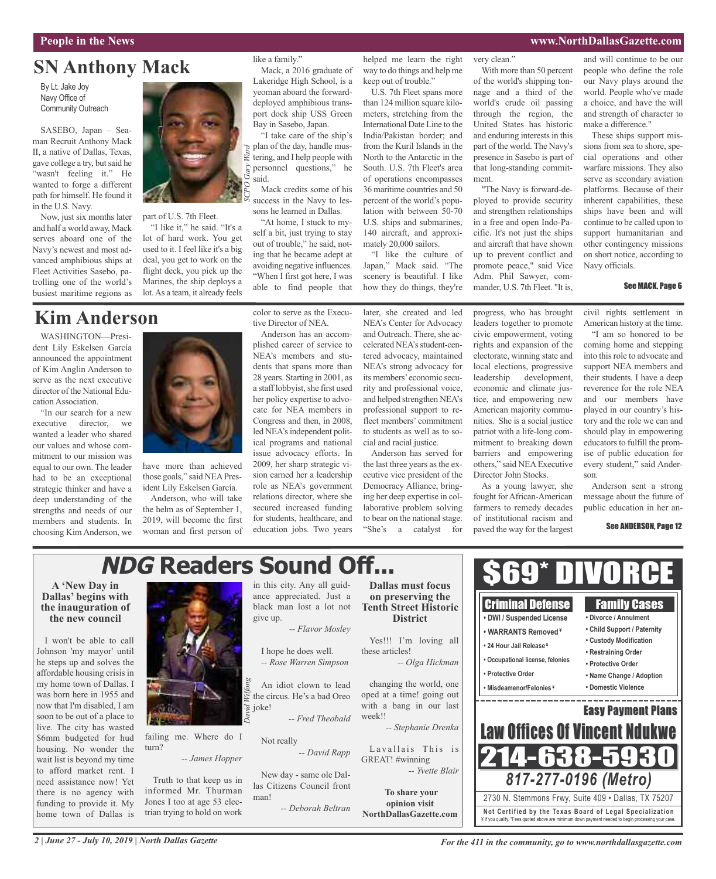# **SN Anthony Mack**

By Lt. Jake Joy Navy Office of Community Outreach

SASEBO, Japan – Seaman Recruit Anthony Mack II, a native of Dallas, Texas, gave college a try, but said he "wasn't feeling it." He wanted to forge a different path for himself. He found it in the U.S. Navy.

Now, just six months later and half a world away, Mack serves aboard one of the Navy's newest and most advanced amphibious ships at Fleet Activities Sasebo, patrolling one of the world's busiest maritime regions as

# **Kim Anderson**

WASHINGTON—President Lily Eskelsen García announced the appointment of Kim Anglin Anderson to serve as the next executive director of the National Education Association.

"In our search for a new executive director, we wanted a leader who shared our values and whose commitment to our mission was equal to our own. The leader had to be an exceptional strategic thinker and have a deep understanding of the strengths and needs of our members and students. In choosing KimAnderson, we

he steps up and solves the affordable housing crisis in my home town of Dallas. I was born here in 1955 and now that I'm disabled, I am soon to be out of a place to live. The city has wasted \$6mm budgeted for hud housing. No wonder the wait list is beyond my time to afford market rent. I need assistance now! Yet there is no agency with funding to provide it. My home town of Dallas is



part of U.S. 7th Fleet.

"I like it," he said. "It's a lot of hard work. You get used to it. I feel like it's a big deal, you get to work on the flight deck, you pick up the Marines, the ship deploys a lot.As a team, it already feels

have more than achieved those goals," said NEAPresident Lily Eskelsen García.



**NDG Readers Sound Off...**

*David*

Anderson, who will take the helm as of September 1, 2019, will become the first woman and first person of

failing me. Where do I

Truth to that keep us in informed Mr. Thurman Jones I too at age 53 electrian trying to hold on work

*-- James Hopper*

turn?

*-- Rose Warren Simpson*

color to serve as the Executive Director of NEA.

like a family."

Mack, a 2016 graduate of Lakeridge High School, is a yeoman aboard the forwarddeployed amphibious transport dock ship USS Green Bay in Sasebo, Japan.

"I take care of the ship's plan of the day, handle muspan of the day, handle mus-<br> *Ware* tering, and I help people with

Mack credits some of his success in the Navy to lessons he learned in Dallas. "At home, I stuck to myself a bit, just trying to stay out of trouble," he said, noting that he became adept at avoiding negative influences. "When I first got here, I was able to find people that

 $\hat{g}$  personnel questions," he

said.

*SCP O*

Anderson has an accom-

2009, her sharp strategic vision earned her a leadership role as NEA's government relations director, where she secured increased funding for students, healthcare, and education jobs. Two years

An idiot clown to lead the circus. He's a bad Oreo *Wilfong*

joke! *-- Fred Theobald*

Not really

*-- David Rapp*

New day - same ole Dallas Citizens Council front man!

*-- Deborah Beltran*

way to do things and help me keep out of trouble."

helped me learn the right

very clean."

ment.

of the world's shipping tonnage and a third of the world's crude oil passing through the region, the United States has historic and enduring interests in this part of the world. The Navy's presence in Sasebo is part of that long-standing commit-

"The Navy is forward-deployed to provide security and strengthen relationships in a free and open Indo-Pacific. It's not just the ships and aircraft that have shown up to prevent conflict and promote peace," said Vice Adm. Phil Sawyer, commander, U.S. 7th Fleet. "It is,

U.S. 7th Fleet spans more than 124 million square kilometers, stretching from the International Date Line to the India/Pakistan border; and from the Kuril Islands in the North to the Antarctic in the South. U.S. 7th Fleet's area of operations encompasses 36 maritime countries and 50 percent of the world's population with between 50-70 U.S. ships and submarines, 140 aircraft, and approximately 20,000 sailors.

"I like the culture of Japan," Mack said. "The scenery is beautiful. I like how they do things, they're

later, she created and led NEA's Center for Advocacy and Outreach. There, she accelerated NEA's student-centered advocacy, maintained NEA's strong advocacy for its members'economic security and professional voice, and helped strengthen NEA's professional support to reflect members' commitment to students as well as to social and racial justice.

Anderson has served for the last three years as the executive vice president of the Democracy Alliance, bringing her deep expertise in collaborative problem solving to bear on the national stage. "She's a catalyst for

progress, who has brought leaders together to promote civic empowerment, voting rights and expansion of the electorate, winning state and local elections, progressive leadership development, economic and climate justice, and empowering new American majority communities. She is a social justice patriot with a life-long commitment to breaking down barriers and empowering others," said NEA Executive Director John Stocks.

As a young lawyer, she fought forAfrican-American farmers to remedy decades of institutional racism and paved the way for the largest

\$69\* DIVORCE

With more than 50 percent and will continue to be our

people who define the role our Navy plays around the world. People who've made a choice, and have the will and strength of character to make a difference."

These ships support missions from sea to shore, special operations and other warfare missions. They also serve as secondary aviation platforms. Because of their inherent capabilities, these ships have been and will continue to be called upon to support humanitarian and other contingency missions on short notice, according to Navy officials.

#### See MACK, Page 6

civil rights settlement in American history at the time.

"I am so honored to be coming home and stepping into this role to advocate and support NEA members and their students. I have a deep reverence for the role NEA and our members have played in our country's history and the role we can and should play in empowering educators to fulfill the promise of public education for every student," said Anderson.

Anderson sent a strong message about the future of public education in her an-

#### See ANDERSON, Page 12

#### **A 'New Day in Dallas' begins with the inauguration of the new council** I won't be able to call Johnson 'my mayor' until in this city. Any all guidance appreciated. Just a black man lost a lot not give up. *-- Flavor Mosley* I hope he does well. **Dallas must focus on preserving the Tenth Street Historic District** Yes!!! I'm loving all these articles!

week!!

GREAT! #winning

**To share your opinion visit**



*2 | June 27 - July 10, 2019 | North Dallas Gazette*

*For the 411 in the community, go to www.northdallasgazette.com*

**People in the News www.NorthDallasGazette.com**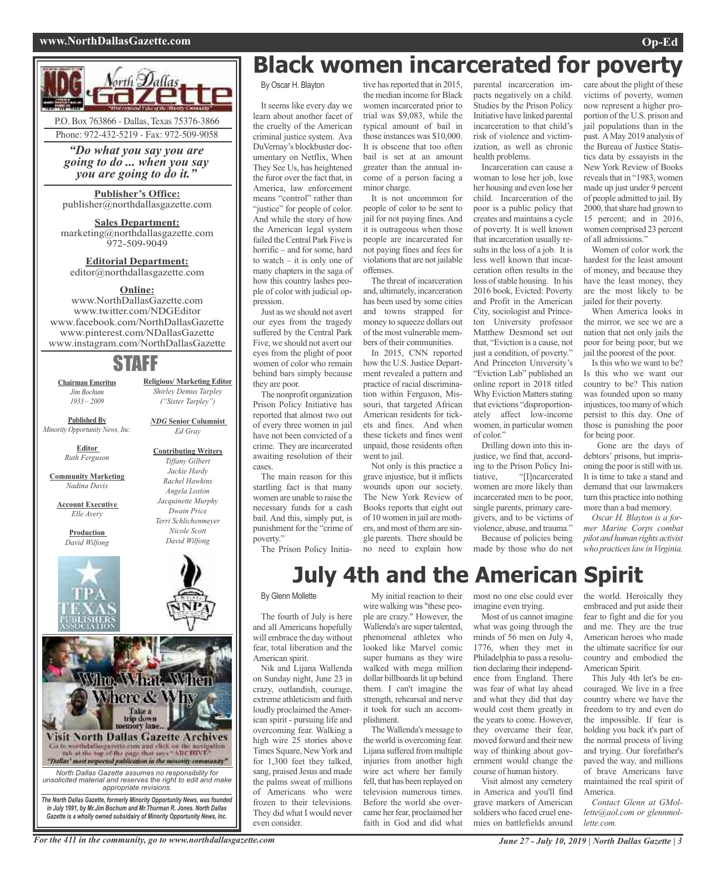#### **www.NorthDallasGazette.com Op-Ed**



*"Do what you say you are going to do ... when you say you are going to do it."*

**Publisher's Office:** publisher@northdallasgazette.com

**Sales Department:** marketing@northdallasgazette.com 972-509-9049

**Editorial Department:** editor@northdallasgazette.com

#### **Online:**

www.NorthDallasGazette.com www.twitter.com/NDGEditor www.facebook.com/NorthDallasGazette www.pinterest.com/NDallasGazette www.instagram.com/NorthDallasGazette

### STAFF

**Chairman Emeritus** *Jim Bochum 1933 – 2009*

*("Sister Tarpley") NDG* **Senior Columnist**

**Religious/ Marketing Editor** *Shirley Demus Tarpley*

*Ed Gray*

**Contributing Writers** *Tiffany Gilbert Jackie Hardy Rachel Hawkins Angela Loston Jacquinette Murphy Dwain Price Terri Schlichenmeyer Nicole Scott David Wilfong*

**Published By** *Minority Opportunity News, Inc.*

> **Editor** *Ruth Ferguson*

**Community Marketing** *Nadina Davis*

**Account Executive** *Elle Avery*

> **Production** *David Wilfong*





*Gazette is a wholly owned subsidairy of Minority Opportunity News, Inc.*

# **Black women incarcerated for poverty**

By Oscar H. Blayton

It seems like every day we learn about another facet of the cruelty of the American criminal justice system. Ava DuVernay's blockbuster documentary on Netflix, When They See Us, has heightened the furor over the fact that, in America, law enforcement means "control" rather than "justice" for people of color. And while the story of how the American legal system failed the Central Park Five is horrific – and for some, hard to watch – it is only one of many chapters in the saga of how this country lashes people of color with judicial oppression.

Just as we should not avert our eyes from the tragedy suffered by the Central Park Five, we should not avert our eyes from the plight of poor women of color who remain behind bars simply because they are poor.

The nonprofit organization Prison Policy Initiative has reported that almost two out of every three women in jail have not been convicted of a crime. They are incarcerated awaiting resolution of their cases.

The main reason for this startling fact is that many women are unable to raise the necessary funds for a cash bail. And this, simply put, is punishment for the "crime of poverty." The Prison Policy Initia-

tive has reported that in 2015. the median income for Black women incarcerated prior to trial was \$9,083, while the typical amount of bail in those instances was \$10,000. It is obscene that too often bail is set at an amount greater than the annual income of a person facing a minor charge.

It is not uncommon for people of color to be sent to jail for not paying fines. And it is outrageous when those people are incarcerated for not paying fines and fees for violations that are not jailable offenses.

The threat of incarceration and, ultimately, incarceration has been used by some cities and towns strapped for money to squeeze dollars out of the most vulnerable members of their communities.

In 2015, CNN reported how the U.S. Justice Department revealed a pattern and practice of racial discrimination within Ferguson, Missouri, that targeted African American residents for tickets and fines. And when these tickets and fines went unpaid, those residents often went to jail.

Not only is this practice a grave injustice, but it inflicts wounds upon our society. The New York Review of Books reports that eight out of 10 women in jail are mothers, and most of them are single parents. There should be no need to explain how parental incarceration impacts negatively on a child. Studies by the Prison Policy Initiative have linked parental incarceration to that child's risk of violence and victimization, as well as chronic health problems.

Incarceration can cause a woman to lose her job, lose her housing and even lose her child. Incarceration of the poor is a public policy that creates and maintains a cycle of poverty. It is well known that incarceration usually results in the loss of a job. It is less well known that incarceration often results in the loss of stable housing. In his 2016 book, Evicted: Poverty and Profit in the American City, sociologist and Princeton University professor Matthew Desmond set out that, "Eviction is a cause, not just a condition, of poverty." And Princeton University's "Eviction Lab" published an online report in 2018 titled Why Eviction Matters stating that evictions "disproportionately affect low-income women, in particular women of color."

Drilling down into this injustice, we find that, according to the Prison Policy Initiative, "[I]ncarcerated women are more likely than incarcerated men to be poor, single parents, primary caregivers, and to be victims of violence, abuse, and trauma."

Because of policies being made by those who do not

care about the plight of these victims of poverty, women now represent a higher proportion of the U.S. prison and jail populations than in the past. AMay 2019 analysis of the Bureau of Justice Statistics data by essayists in the New York Review of Books reveals that in "1983, women made up just under 9 percent of people admitted to jail. By 2000, that share had grown to 15 percent; and in 2016, women comprised 23 percent of all admissions."

Women of color work the hardest for the least amount of money, and because they have the least money, they are the most likely to be jailed for their poverty.

When America looks in the mirror, we see we are a nation that not only jails the poor for being poor, but we jail the poorest of the poor.

Is this who we want to be? Is this who we want our country to be? This nation was founded upon so many injustices, too many of which persist to this day. One of those is punishing the poor for being poor.

Gone are the days of debtors' prisons, but imprisoning the poor is still with us. It is time to take a stand and demand that our lawmakers turn this practice into nothing more than a bad memory.

*Oscar H. Blayton is a former Marine Corps combat pilot and human rights activist who practiceslawinVirginia.*

# **July 4th and the American Spirit**

#### By Glenn Mollette

The fourth of July is here and all Americans hopefully will embrace the day without fear, total liberation and the American spirit.

Nik and Lijana Wallenda on Sunday night, June 23 in crazy, outlandish, courage, extreme athleticism and faith loudly proclaimed theAmerican spirit - pursuing life and overcoming fear. Walking a high wire 25 stories above Times Square, NewYork and for 1,300 feet they talked, sang, praised Jesus and made the palms sweat of millions of Americans who were frozen to their televisions. They did what I would never even consider.

My initial reaction to their wire walking was "these people are crazy." However, the Wallenda's are super talented, phenomenal athletes who looked like Marvel comic super humans as they wire walked with mega million dollar billboards lit up behind them. I can't imagine the strength, rehearsal and nerve it took for such an accomplishment.

The Wallenda's message to the world is overcoming fear. Lijana suffered from multiple injuries from another high wire act where her family fell, that has been replayed on television numerous times. Before the world she overcame her fear, proclaimed her faith in God and did what

most no one else could ever imagine even trying.

Most of us cannot imagine what was going through the minds of 56 men on July 4, 1776, when they met in Philadelphia to pass a resolution declaring their independence from England. There was fear of what lay ahead and what they did that day would cost them greatly in the years to come. However, they overcame their fear, moved forward and their new way of thinking about government would change the course of human history.

Visit almost any cemetery in America and you'll find grave markers of American soldiers who faced cruel enemies on battlefields around the world. Heroically they embraced and put aside their fear to fight and die for you and me. They are the true American heroes who made the ultimate sacrifice for our country and embodied the American Spirit.

This July 4th let's be encouraged. We live in a free country where we have the freedom to try and even do the impossible. If fear is holding you back it's part of the normal process of living and trying. Our forefather's paved the way, and millions of brave Americans have maintained the real spirit of America.

*Contact Glenn at GMollette@aol.com or glennmollette.com.*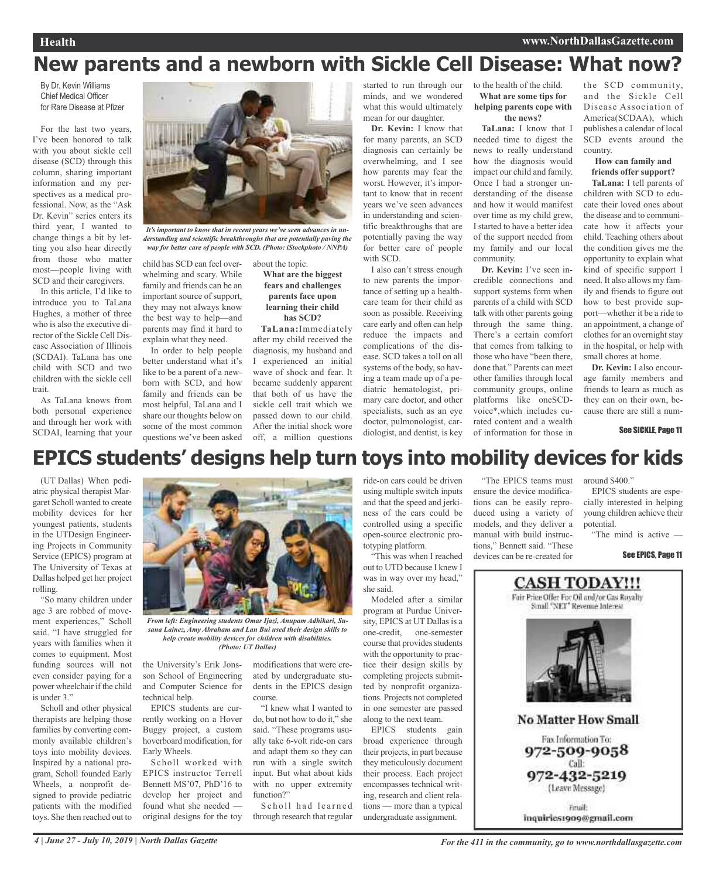# **New parents and a newborn with Sickle Cell Disease: What now?**

By Dr. Kevin Williams Chief Medical Officer for Rare Disease at Pfizer

For the last two years, I've been honored to talk with you about sickle cell disease (SCD) through this column, sharing important information and my perspectives as a medical professional. Now, as the "Ask Dr. Kevin" series enters its third year, I wanted to change things a bit by letting you also hear directly from those who matter most—people living with SCD and their caregivers.

In this article, I'd like to introduce you to TaLana Hughes, a mother of three who is also the executive director of the Sickle Cell Disease Association of Illinois (SCDAI). TaLana has one child with SCD and two children with the sickle cell trait.

As TaLana knows from both personal experience and through her work with SCDAI, learning that your



*It's important to know that in recent years we've seen advances in understanding and scientific breakthroughs that are potentially paving the way for better care of people with SCD. (Photo: iStockphoto / NNPA)*

child has SCD can feel overwhelming and scary. While family and friends can be an important source of support, they may not always know the best way to help—and parents may find it hard to explain what they need.

In order to help people better understand what it's like to be a parent of a newborn with SCD, and how family and friends can be most helpful, TaLana and I share our thoughts below on some of the most common about the topic. **What are the biggest fears and challenges parents face upon learning their child has SCD?**

questions we've been asked off, a million questions **TaLana:**Immediately after my child received the diagnosis, my husband and I experienced an initial wave of shock and fear. It became suddenly apparent that both of us have the sickle cell trait which we passed down to our child. After the initial shock wore started to run through our minds, and we wondered what this would ultimately mean for our daughter.

**Dr. Kevin:** I know that for many parents, an SCD diagnosis can certainly be overwhelming, and I see how parents may fear the worst. However, it's important to know that in recent years we've seen advances in understanding and scientific breakthroughs that are potentially paving the way for better care of people with SCD.

I also can't stress enough to new parents the importance of setting up a healthcare team for their child as soon as possible. Receiving care early and often can help reduce the impacts and complications of the disease. SCD takes a toll on all systems of the body, so having a team made up of a pediatric hematologist, primary care doctor, and other specialists, such as an eye doctor, pulmonologist, cardiologist, and dentist, is key

to the health of the child. **What are some tips for helping parents cope with the news?**

**TaLana:** I know that I needed time to digest the news to really understand how the diagnosis would impact our child and family. Once I had a stronger understanding of the disease and how it would manifest over time as my child grew, I started to have a better idea of the support needed from my family and our local community.

**Dr. Kevin:** I've seen incredible connections and support systems form when parents of a child with SCD talk with other parents going through the same thing. There's a certain comfort that comes from talking to those who have "been there, done that." Parents can meet other families through local community groups, online platforms like oneSCDvoice\*,which includes curated content and a wealth of information for those in

the SCD community, and the Sickle Cell Disease Association of America(SCDAA), which publishes a calendar of local SCD events around the country.

#### **How can family and friends offer support?**

**TaLana:** I tell parents of children with SCD to educate their loved ones about the disease and to communicate how it affects your child. Teaching others about the condition gives me the opportunity to explain what kind of specific support I need. It also allows my family and friends to figure out how to best provide support—whether it be a ride to an appointment, a change of clothes for an overnight stay in the hospital, or help with small chores at home.

**Dr. Kevin:** I also encourage family members and friends to learn as much as they can on their own, because there are still a num-

#### See SICKLE, Page 11

# **EPICS students' designs help turn toys into mobility devices for kids**

(UT Dallas) When pediatric physical therapist Margaret Scholl wanted to create mobility devices for her youngest patients, students in the UTDesign Engineering Projects in Community Service (EPICS) program at The University of Texas at Dallas helped get her project rolling.

"So many children under age 3 are robbed of movement experiences," Scholl said. "I have struggled for years with families when it comes to equipment. Most funding sources will not even consider paying for a power wheelchair if the child is under 3."

Scholl and other physical therapists are helping those families by converting commonly available children's toys into mobility devices. Inspired by a national program, Scholl founded Early Wheels, a nonprofit designed to provide pediatric patients with the modified toys. She then reached out to



*From left: Engineering students Omar Ijazi, Anupam Adhikari, Susana Lainez, Amy Abraham and Lan Bui used their design skills to help create mobility devices for children with disabilities. (Photo: UT Dallas)*

the University's Erik Jonsson School of Engineering and Computer Science for technical help.

EPICS students are currently working on a Hover Buggy project, a custom hoverboard modification, for Early Wheels.

Scholl worked with EPICS instructor Terrell Bennett MS'07, PhD'16 to develop her project and found what she needed original designs for the toy

modifications that were created by undergraduate students in the EPICS design course.

"I knew what I wanted to do, but not how to do it," she said. "These programs usually take 6-volt ride-on cars and adapt them so they can run with a single switch input. But what about kids with no upper extremity function?"

Scholl had learned through research that regular ride-on cars could be driven using multiple switch inputs and that the speed and jerkiness of the cars could be controlled using a specific open-source electronic prototyping platform.

"This was when I reached out to UTD because I knew I was in way over my head," she said.

Modeled after a similar program at Purdue University, EPICS at UT Dallas is a one-credit, one-semester course that provides students with the opportunity to practice their design skills by completing projects submitted by nonprofit organizations. Projects not completed in one semester are passed along to the next team.

EPICS students gain broad experience through their projects, in part because they meticulously document their process. Each project encompasses technical writing, research and client relations — more than a typical undergraduate assignment.

"The EPICS teams must ensure the device modifications can be easily reproduced using a variety of models, and they deliver a manual with build instructions," Bennett said. "These devices can be re-created for

around \$400."

EPICS students are especially interested in helping young children achieve their potential.

"The mind is active —

See EPICS, Page 11

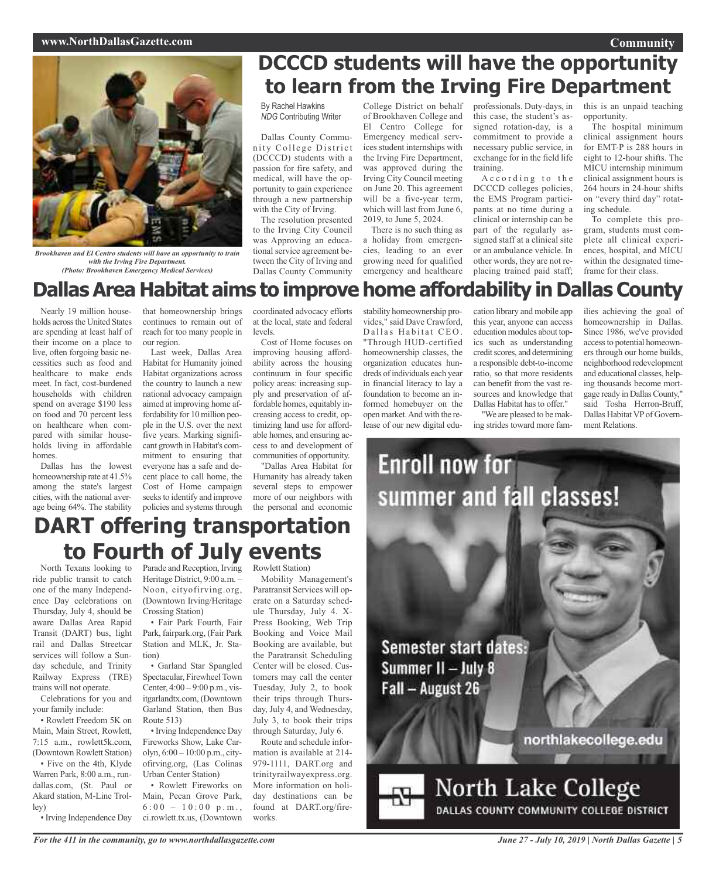#### **www.NorthDallasGazette.com**



*Brookhaven and El Centro students will have an opportunity to train with the Irving Fire Department. (Photo: Brookhaven Emergency Medical Services)*

# **DCCCD students will have the opportunity to learn from the Irving Fire Department**

By Rachel Hawkins *NDG* Contributing Writer

Dallas County Community College District (DCCCD) students with a passion for fire safety, and medical, will have the opportunity to gain experience through a new partnership with the City of Irving.

The resolution presented to the Irving City Council was Approving an educational service agreement between the City of Irving and Dallas County Community College District on behalf of Brookhaven College and El Centro College for Emergency medical services student internships with the Irving Fire Department, was approved during the Irving City Council meeting on June 20. This agreement will be a five-year term, which will last from June 6, 2019, to June 5, 2024.

There is no such thing as a holiday from emergencies, leading to an ever growing need for qualified emergency and healthcare professionals. Duty-days, in this case, the student's assigned rotation-day, is a commitment to provide a necessary public service, in exchange for in the field life training.

A c c ording to the DCCCD colleges policies, the EMS Program participants at no time during a clinical or internship can be part of the regularly assigned staff at a clinical site or an ambulance vehicle. In other words, they are not replacing trained paid staff; this is an unpaid teaching opportunity.

The hospital minimum clinical assignment hours for EMT-P is 288 hours in eight to 12-hour shifts. The MICU internship minimum clinical assignment hours is 264 hours in 24-hour shifts on "every third day" rotating schedule.

To complete this program, students must complete all clinical experiences, hospital, and MICU within the designated timeframe for their class.

# **Dallas Area Habitat aims to improve home affordability in Dallas County**

Nearly 19 million households across the United States are spending at least half of their income on a place to live, often forgoing basic necessities such as food and healthcare to make ends meet. In fact, cost-burdened households with children spend on average \$190 less on food and 70 percent less on healthcare when compared with similar households living in affordable homes.

Dallas has the lowest homeownership rate at 41.5% among the state's largest cities, with the national average being 64%. The stability

that homeownership brings continues to remain out of reach for too many people in our region.

Last week, Dallas Area Habitat for Humanity joined Habitat organizations across the country to launch a new national advocacy campaign aimed at improving home affordability for 10 million people in the U.S. over the next five years. Marking significant growth in Habitat's commitment to ensuring that everyone has a safe and decent place to call home, the Cost of Home campaign seeks to identify and improve policies and systems through

coordinated advocacy efforts at the local, state and federal levels. Cost of Home focuses on

improving housing affordability across the housing continuum in four specific policy areas: increasing supply and preservation of affordable homes, equitably increasing access to credit, optimizing land use for affordable homes, and ensuring access to and development of communities of opportunity.

"Dallas Area Habitat for Humanity has already taken several steps to empower more of our neighbors with the personal and economic stability homeownership provides," said Dave Crawford, Dallas Habitat CEO. "Through HUD-certified homeownership classes, the organization educates hundreds of individuals each year in financial literacy to lay a foundation to become an informed homebuyer on the open market.And with the release of our new digital education library and mobile app this year, anyone can access education modules about topics such as understanding credit scores, and determining a responsible debt-to-income ratio, so that more residents can benefit from the vast resources and knowledge that Dallas Habitat has to offer."

"We are pleased to be making strides toward more families achieving the goal of homeownership in Dallas. Since 1986, we've provided accessto potential homeowners through our home builds, neighborhood redevelopment and educational classes, helping thousands become mortgage ready in Dallas County," said Tosha Herron-Bruff, Dallas Habitat VP of Government Relations.

# **Enroll now for** summer and fall classes! Semester start dates: Summer II - July 8 Fall - August 26

# **DART offering transportation to Fourth of July events**

North Texans looking to ride public transit to catch one of the many Independence Day celebrations on Thursday, July 4, should be aware Dallas Area Rapid Transit (DART) bus, light rail and Dallas Streetcar services will follow a Sunday schedule, and Trinity Railway Express (TRE) trains will not operate.

Celebrations for you and your family include:

• Rowlett Freedom 5K on Main, Main Street, Rowlett, 7:15 a.m., rowlett5k.com, (Downtown Rowlett Station)

• Five on the 4th, Klyde Warren Park, 8:00 a.m., rundallas.com, (St. Paul or Akard station, M-Line Trolley)

•Irving Independence Day

Parade and Reception, Irving Heritage District, 9:00 a.m. – Noon, cityofirving.org, (Downtown Irving/Heritage Crossing Station)

• Fair Park Fourth, Fair Park, fairpark.org, (Fair Park Station and MLK, Jr. Station)

• Garland Star Spangled Spectacular, Firewheel Town Center, 4:00 – 9:00 p.m., visitgarlandtx.com, (Downtown Garland Station, then Bus Route 513)

•Irving Independence Day Fireworks Show, Lake Carolyn, 6:00 – 10:00 p.m., cityofirving.org, (Las Colinas Urban Center Station)

• Rowlett Fireworks on Main, Pecan Grove Park,  $6:00 - 10:00 \text{ p.m.}$ ci.rowlett.tx.us, (Downtown

#### Rowlett Station)

Mobility Management's Paratransit Services will operate on a Saturday schedule Thursday, July 4. X-Press Booking, Web Trip Booking and Voice Mail Booking are available, but the Paratransit Scheduling Center will be closed. Customers may call the center Tuesday, July 2, to book their trips through Thursday, July 4, and Wednesday, July 3, to book their trips through Saturday, July 6.

Route and schedule information is available at 214- 979-1111, DART.org and trinityrailwayexpress.org. More information on holiday destinations can be found at DART.org/fireworks.

northlakecollege.edu



*June 27 - July 10, 2019 | North Dallas Gazette | 5*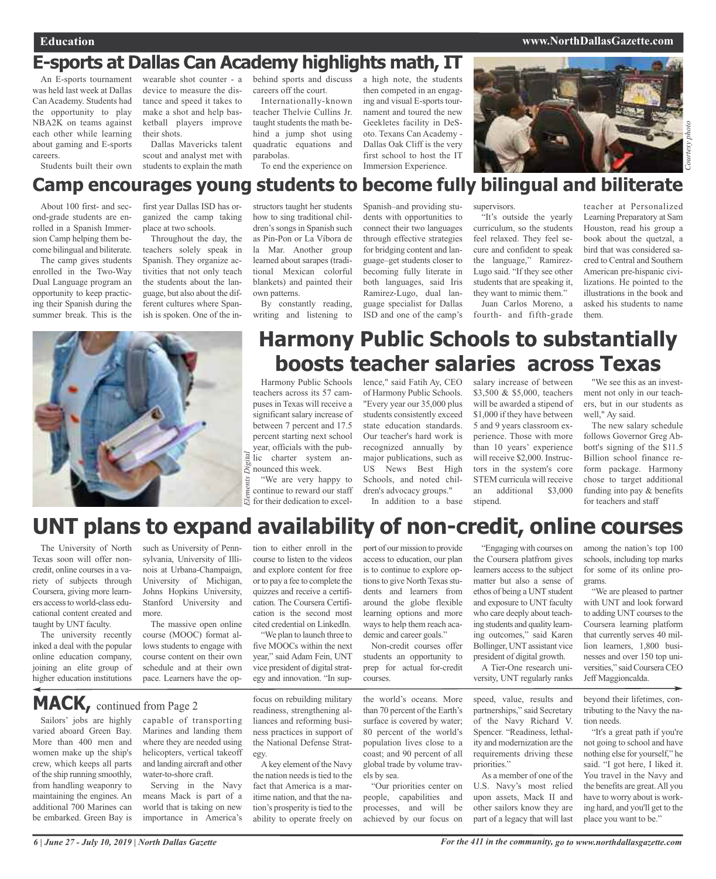#### **Education www.NorthDallasGazette.com**

### **E-sports at Dallas Can Academy highlights math, IT**

An E-sports tournament was held last week at Dallas Can Academy. Students had the opportunity to play NBA2K on teams against each other while learning about gaming and E-sports careers.

Students built their own

wearable shot counter - a device to measure the distance and speed it takes to make a shot and help basketball players improve their shots.

Dallas Mavericks talent scout and analyst met with students to explain the math

behind sports and discuss careers off the court.

Internationally-known teacher Thelvie Cullins Jr. taught students the math behind a jump shot using quadratic equations and parabolas.

To end the experience on

a high note, the students then competed in an engaging and visual E-sports tournament and toured the new Geekletes facility in DeSoto. Texans Can Academy - Dallas Oak Cliff is the very first school to host the IT Immersion Experience.



### **Camp encourages young students to become fully bilingual and biliterate**

About 100 first- and second-grade students are enrolled in a Spanish Immersion Camp helping them become bilingual and biliterate.

The camp gives students enrolled in the Two-Way Dual Language program an opportunity to keep practicing their Spanish during the summer break. This is the

first year Dallas ISD has organized the camp taking place at two schools.

Throughout the day, the teachers solely speak in Spanish. They organize activities that not only teach the students about the language, but also about the different cultures where Spanish is spoken. One of the in-

structors taught her students how to sing traditional children's songs in Spanish such as Pin-Pon or La Víbora de la Mar. Another group learned about sarapes (traditional Mexican colorful blankets) and painted their own patterns.

By constantly reading, writing and listening to Spanish–and providing students with opportunities to connect their two languages through effective strategies for bridging content and language–get students closer to becoming fully literate in both languages, said Iris Ramirez-Lugo, dual language specialist for Dallas ISD and one of the camp's

#### supervisors.

"It's outside the yearly curriculum, so the students feel relaxed. They feel secure and confident to speak the language," Ramirez-Lugo said. "If they see other students that are speaking it, they want to mimic them."

Juan Carlos Moreno, a fourth- and fifth-grade

teacher at Personalized Learning Preparatory at Sam Houston, read his group a book about the quetzal, a bird that was considered sacred to Central and Southern American pre-hispanic civilizations. He pointed to the illustrations in the book and asked his students to name them.



# **Harmony Public Schools to substantially boosts teacher salaries across Texas**

Harmony Public Schools teachers across its 57 campuses in Texas will receive a significant salary increase of between 7 percent and 17.5 percent starting next school year, officials with the public charter system announced this week.

"We are very happy to continue to reward our staff for their dedication to excellence," said Fatih Ay, CEO of Harmony Public Schools. "Every year our 35,000 plus students consistently exceed state education standards. Our teacher's hard work is recognized annually by major publications, such as US News Best High Schools, and noted children's advocacy groups." In addition to a base

salary increase of between \$3,500 & \$5,000, teachers will be awarded a stipend of \$1,000 if they have between 5 and 9 years classroom experience. Those with more than 10 years' experience will receive \$2,000. Instructors in the system's core STEM curricula will receive an additional \$3,000 stipend.

"We see this as an investment not only in our teachers, but in our students as well," Ay said.

The new salary schedule follows Governor Greg Abbott's signing of the \$11.5 Billion school finance reform package. Harmony chose to target additional funding into pay & benefits for teachers and staff

### **UNT plans to expand availability of non-credit, online courses** tion to either enroll in the

The University of North Texas soon will offer noncredit, online courses in a variety of subjects through Coursera, giving more learners accessto world-class educational content created and taught by UNT faculty.

The university recently inked a deal with the popular online education company, joining an elite group of higher education institutions

such as University of Pennsylvania, University of Illinois at Urbana-Champaign, University of Michigan, Johns Hopkins University, Stanford University and more.

course (MOOC) format al-

### **MACK,** continued from Page <sup>2</sup>

Sailors' jobs are highly varied aboard Green Bay. More than 400 men and women make up the ship's crew, which keeps all parts of the ship running smoothly, from handling weaponry to maintaining the engines. An additional 700 Marines can be embarked. Green Bay is

The massive open online

lows students to engage with course content on their own schedule and at their own pace. Learners have the op-

capable of transporting Marines and landing them where they are needed using helicopters, vertical takeoff and landing aircraft and other water-to-shore craft.

Serving in the Navy means Mack is part of a world that is taking on new importance in America's and explore content for free orto pay a fee to complete the quizzes and receive a certification. The Coursera Certification is the second most cited credential on LinkedIn. "We plan to launch three to

course to listen to the videos

five MOOCs within the next year," said Adam Fein, UNT vice president of digital strategy and innovation. "In sup-

focus on rebuilding military readiness, strengthening alliances and reforming business practices in support of the National Defense Strategy.

Akey element of the Navy the nation needs is tied to the fact that America is a maritime nation, and that the nation's prosperity is tied to the ability to operate freely on port of our mission to provide access to education, our plan is to continue to explore options to give North Texas students and learners from around the globe flexible learning options and more ways to help them reach academic and career goals."

Non-credit courses offer students an opportunity to prep for actual for-credit courses.

the world's oceans. More than 70 percent of the Earth's surface is covered by water; 80 percent of the world's population lives close to a coast; and 90 percent of all global trade by volume travels by sea.

"Our priorities center on people, capabilities and processes, and will be achieved by our focus on

"Engaging with courses on the Coursera platfrom gives learners access to the subject matter but also a sense of ethos of being a UNT student and exposure to UNT faculty who care deeply about teaching students and quality learning outcomes," said Karen Bollinger, UNT assistant vice president of digital growth.

A Tier-One research university, UNT regularly ranks

speed, value, results and partnerships," said Secretary of the Navy Richard V. Spencer. "Readiness, lethality and modernization are the requirements driving these priorities."

As a member of one of the U.S. Navy's most relied upon assets, Mack II and other sailors know they are part of a legacy that will last

among the nation's top 100 schools, including top marks for some of its online programs.

"We are pleased to partner with UNT and look forward to adding UNT courses to the Coursera learning platform that currently serves 40 million learners, 1,800 businesses and over 150 top universities," said Coursera CEO Jeff Maggioncalda.

beyond their lifetimes, contributing to the Navy the nation needs.

"It's a great path if you're not going to school and have nothing else for yourself," he said. "I got here, I liked it. You travel in the Navy and the benefits are great.All you have to worry about is working hard, and you'll get to the place you want to be."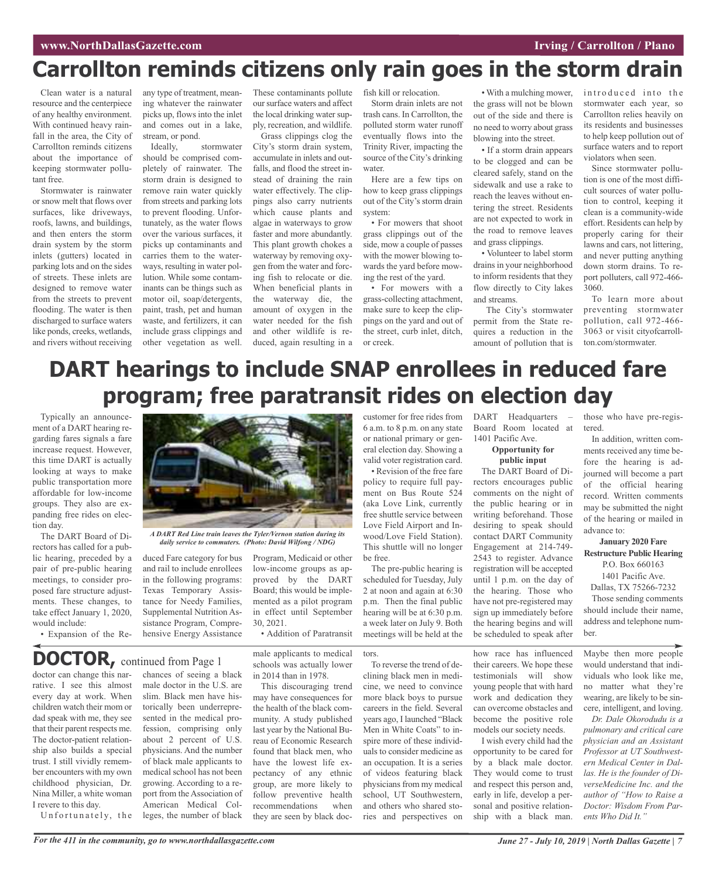# **Carrollton reminds citizens only rain goes in the storm drain**

Clean water is a natural resource and the centerpiece of any healthy environment. With continued heavy rainfall in the area, the City of Carrollton reminds citizens about the importance of keeping stormwater pollutant free.

Stormwater is rainwater orsnow melt that flows over surfaces, like driveways, roofs, lawns, and buildings, and then enters the storm drain system by the storm inlets (gutters) located in parking lots and on the sides of streets. These inlets are designed to remove water from the streets to prevent flooding. The water is then discharged to surface waters like ponds, creeks, wetlands, and rivers without receiving any type of treatment, meaning whatever the rainwater picks up, flows into the inlet and comes out in a lake, stream, or pond.

Ideally, stormwater should be comprised completely of rainwater. The storm drain is designed to remove rain water quickly from streets and parking lots to prevent flooding. Unfortunately, as the water flows over the various surfaces, it picks up contaminants and carries them to the waterways, resulting in water pollution. While some contaminants can be things such as motor oil, soap/detergents, paint, trash, pet and human waste, and fertilizers, it can include grass clippings and other vegetation as well. These contaminants pollute our surface waters and affect the local drinking water supply, recreation, and wildlife.

Grass clippings clog the City's storm drain system, accumulate in inlets and outfalls, and flood the street instead of draining the rain water effectively. The clippings also carry nutrients which cause plants and algae in waterways to grow faster and more abundantly. This plant growth chokes a waterway by removing oxygen from the water and forcing fish to relocate or die. When beneficial plants in the waterway die, the amount of oxygen in the water needed for the fish and other wildlife is reduced, again resulting in a

fish kill or relocation.

Storm drain inlets are not trash cans. In Carrollton, the polluted storm water runoff eventually flows into the Trinity River, impacting the source of the City's drinking water.

Here are a few tips on how to keep grass clippings out of the City's storm drain system:

• For mowers that shoot grass clippings out of the side, mow a couple of passes with the mower blowing towards the yard before mowing the rest of the yard.

• For mowers with a grass-collecting attachment, make sure to keep the clippings on the yard and out of the street, curb inlet, ditch, or creek.

the grass will not be blown out of the side and there is no need to worry about grass blowing into the street.

• If a storm drain appears to be clogged and can be cleared safely, stand on the sidewalk and use a rake to reach the leaves without entering the street. Residents are not expected to work in the road to remove leaves and grass clippings.

• Volunteer to label storm drains in your neighborhood to inform residents that they flow directly to City lakes and streams.

The City's stormwater permit from the State requires a reduction in the amount of pollution that is

. With a mulching mower, introduced into the stormwater each year, so Carrollton relies heavily on its residents and businesses to help keep pollution out of surface waters and to report violators when seen.

> Since stormwater pollution is one of the most difficult sources of water pollution to control, keeping it clean is a community-wide effort. Residents can help by properly caring for their lawns and cars, not littering, and never putting anything down storm drains. To report polluters, call 972-466- 3060.

> To learn more about preventing stormwater pollution, call 972-466- 3063 or visit cityofcarrollton.com/stormwater.

# **DART hearings to include SNAP enrollees in reduced fare program; free paratransit rides on election day**

Typically an announcement of a DART hearing regarding fares signals a fare increase request. However, this time DART is actually looking at ways to make public transportation more affordable for low-income groups. They also are expanding free rides on election day.

The DART Board of Directors has called for a public hearing, preceded by a pair of pre-public hearing meetings, to consider proposed fare structure adjustments. These changes, to take effect January 1, 2020, would include: • Expansion of the Re-



*A DART Red Line train leaves the Tyler/Vernon station during its daily service to commuters. (Photo: David Wilfong / NDG)*

duced Fare category for bus and rail to include enrollees in the following programs: Texas Temporary Assistance for Needy Families, Supplemental Nutrition Assistance Program, Comprehensive Energy Assistance

Program, Medicaid or other low-income groups as approved by the DART Board; this would be implemented as a pilot program in effect until September 30, 2021.

• Addition of Paratransit

male applicants to medical schools was actually lower in 2014 than in 1978.

This discouraging trend may have consequences for the health of the black community. A study published last year by the National Bureau of Economic Research found that black men, who have the lowest life expectancy of any ethnic group, are more likely to follow preventive health recommendations when they are seen by black doccustomer for free rides from 6 a.m. to 8 p.m. on any state or national primary or general election day. Showing a valid voter registration card.

• Revision of the free fare policy to require full payment on Bus Route 524 (aka Love Link, currently free shuttle service between Love Field Airport and Inwood/Love Field Station). This shuttle will no longer be free.

The pre-public hearing is scheduled for Tuesday, July 2 at noon and again at 6:30 p.m. Then the final public hearing will be at 6:30 p.m. a week later on July 9. Both meetings will be held at the

tors. To reverse the trend of declining black men in medicine, we need to convince more black boys to pursue careers in the field. Several years ago, I launched "Black Men in White Coats" to inspire more of these individuals to consider medicine as an occupation. It is a series of videos featuring black physicians from my medical school, UT Southwestern, and others who shared stories and perspectives on

DART Headquarters – Board Room located at 1401 Pacific Ave.

**Opportunity for public input**

The DART Board of Directors encourages public comments on the night of the public hearing or in writing beforehand. Those desiring to speak should contact DART Community Engagement at 214-749- 2543 to register. Advance registration will be accepted until 1 p.m. on the day of the hearing. Those who have not pre-registered may sign up immediately before the hearing begins and will be scheduled to speak after

how race has influenced their careers. We hope these testimonials will show young people that with hard work and dedication they can overcome obstacles and become the positive role models our society needs.

I wish every child had the opportunity to be cared for by a black male doctor. They would come to trust and respect this person and, early in life, develop a personal and positive relationship with a black man.

those who have pre-registered.

In addition, written comments received any time before the hearing is adjourned will become a part of the official hearing record. Written comments may be submitted the night of the hearing or mailed in advance to:

**January 2020 Fare Restructure Public Hearing**

P.O. Box 660163 1401 Pacific Ave.

Dallas, TX 75266-7232

Those sending comments should include their name, address and telephone number.

Maybe then more people would understand that individuals who look like me, no matter what they're wearing, are likely to be sincere, intelligent, and loving.

*Dr. Dale Okorodudu is a pulmonary and critical care physician and an Assistant Professor at UT Southwestern Medical Center in Dallas. He is the founder of DiverseMedicine Inc. and the author of "How to Raise a Doctor: Wisdom From Parents Who Did It."*

doctor can change this nar-**DOCTOR,** continued from Page <sup>1</sup>

rative. I see this almost every day at work. When children watch their mom or dad speak with me, they see that their parent respects me. The doctor-patient relationship also builds a special trust. I still vividly remember encounters with my own childhood physician, Dr. Nina Miller, a white woman I revere to this day.

Unfortunately, the

chances of seeing a black male doctor in the U.S. are slim. Black men have historically been underrepresented in the medical profession, comprising only about 2 percent of U.S. physicians. And the number of black male applicants to medical school has not been growing. According to a report from the Association of American Medical Colleges, the number of black

For the 411 in the community, go to www.northdallasgazette.com June 27 - July 10, 2019 | North Dallas Gazette | 7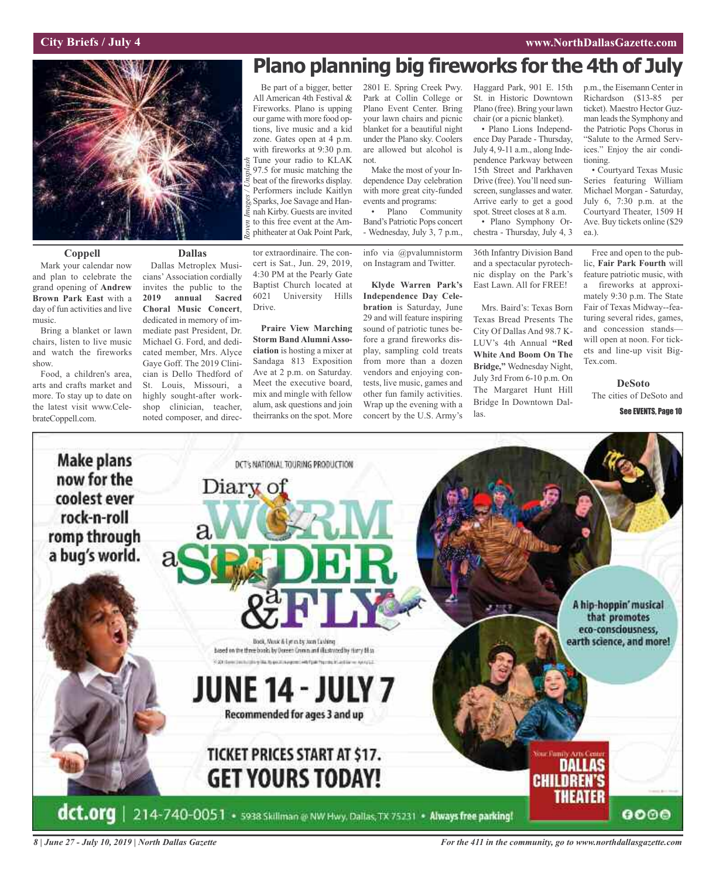

#### **Coppell**

Mark your calendar now and plan to celebrate the grand opening of **Andrew Brown Park East** with a day of fun activities and live music.

Bring a blanket or lawn chairs, listen to live music and watch the fireworks show.

Food, a children's area, arts and crafts market and more. To stay up to date on the latest visit www.CelebrateCoppell.com.

#### **Dallas**

Dallas Metroplex Musicians' Association cordially invites the public to the **2019 annual Sacred Choral Music Concert**, dedicated in memory of immediate past President, Dr. Michael G. Ford, and dedicated member, Mrs. Alyce Gaye Goff. The 2019 Clinician is Dello Thedford of St. Louis, Missouri, a highly sought-after workshop clinician, teacher, noted composer, and direc-

# **Plano planning big fireworks for the 4th of July**

Be part of a bigger, better All American 4th Festival & Fireworks. Plano is upping our game with more food options, live music and a kid zone. Gates open at 4 p.m. with fireworks at 9:30 p.m. Tune your radio to KLAK 97.5 for music matching the beat of the fireworks display. Performers include Kaitlyn Sparks, Joe Savage and Hannah Kirby. Guests are invited to this free event at the Amphitheater at Oak Point Park,

tor extraordinaire. The concert is Sat., Jun. 29, 2019, 4:30 PM at the Pearly Gate Baptist Church located at 6021 University Hills Drive.

**Praire View Marching Storm Band Alumni Association** is hosting a mixer at Sandaga 813 Exposition Ave at 2 p.m. on Saturday. Meet the executive board, mix and mingle with fellow alum, ask questions and join theirranks on the spot. More 2801 E. Spring Creek Pwy. Park at Collin College or Plano Event Center. Bring your lawn chairs and picnic blanket for a beautiful night under the Plano sky. Coolers are allowed but alcohol is not.

Make the most of your Independence Day celebration with more great city-funded events and programs:<br>• Plano Comi

**Community** Band's Patriotic Pops concert - Wednesday, July 3, 7 p.m.,

info via @pvalumnistorm on Instagram and Twitter.

**Klyde Warren Park's Independence Day Celebration** is Saturday, June 29 and will feature inspiring sound of patriotic tunes before a grand fireworks display, sampling cold treats from more than a dozen vendors and enjoying contests, live music, games and other fun family activities. Wrap up the evening with a concert by the U.S. Army's

Haggard Park, 901 E. 15th St. in Historic Downtown Plano (free). Bring your lawn chair (or a picnic blanket).

• Plano Lions Independence Day Parade - Thursday, July 4, 9-11 a.m., along Independence Parkway between 15th Street and Parkhaven Drive (free). You'll need sunscreen, sunglasses and water. Arrive early to get a good spot. Street closes at 8 a.m. • Plano Symphony Orchestra - Thursday, July 4, 3

36th Infantry Division Band and a spectacular pyrotechnic display on the Park's East Lawn. All for FREE!

Mrs. Baird's: Texas Born Texas Bread Presents The City Of Dallas And 98.7 K-LUV's 4th Annual **"Red White And Boom On The Bridge,"** Wednesday Night, July 3rd From 6-10 p.m. On The Margaret Hunt Hill Bridge In Downtown Dallas.

p.m., the Eisemann Center in Richardson (\$13-85 per ticket). Maestro Hector Guzman leads the Symphony and the Patriotic Pops Chorus in "Salute to the Armed Services." Enjoy the air conditioning.

• Courtyard Texas Music Series featuring William Michael Morgan - Saturday, July 6, 7:30 p.m. at the Courtyard Theater, 1509 H Ave. Buy tickets online (\$29 ea.).

Free and open to the public, **Fair Park Fourth** will feature patriotic music, with a fireworks at approximately 9:30 p.m. The State Fair of Texas Midway--featuring several rides, games, and concession stands will open at noon. For tickets and line-up visit Big-Tex.com.

**DeSoto** The cities of DeSoto and

See EVENTS, Page 10



*8 | June 27 - July 10, 2019 | North Dallas Gazette*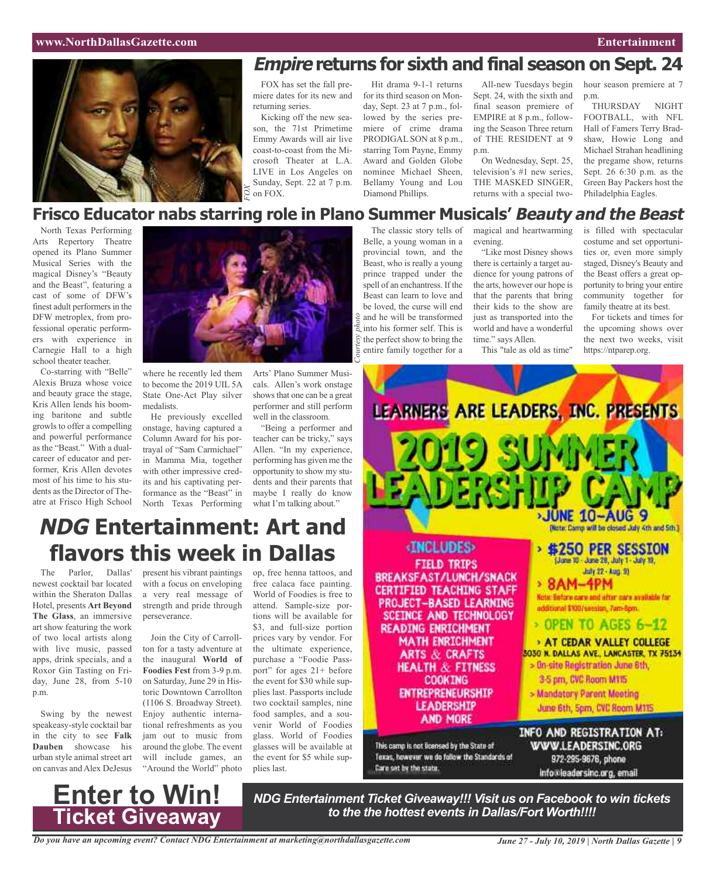#### **www.NorthDallasGazette.com Entertainment**



# **Empire returns for sixth and final season on Sept. 24**

FOX has set the fall premiere dates for its new and returning series.

Kicking off the new season, the 71st Primetime Emmy Awards will air live coast-to-coast from the Microsoft Theater at L.A. LIVE in Los Angeles on Sunday, Sept. 22 at 7 p.m. on FOX.

Hit drama 9-1-1 returns for its third season on Monday, Sept. 23 at 7 p.m., followed by the series premiere of crime drama PRODIGAL SON at 8 p.m., starring Tom Payne, Emmy Award and Golden Globe nominee Michael Sheen, Bellamy Young and Lou Diamond Phillips.

The classic story tells of Belle, a young woman in a provincial town, and the

All-new Tuesdays begin Sept. 24, with the sixth and final season premiere of EMPIRE at 8 p.m., following the Season Three return of THE RESIDENT at 9 p.m.

On Wednesday, Sept. 25, television's #1 new series, THE MASKED SINGER, returns with a special twohour season premiere at 7 p.m.

THURSDAY NIGHT FOOTBALL, with NFL Hall of Famers Terry Bradshaw, Howie Long and Michael Strahan headlining the pregame show, returns Sept. 26 6:30 p.m. as the Green Bay Packers host the Philadelphia Eagles.

### **Frisco Educator nabs starring role in Plano Summer Musicals' Beauty and the Beast**

North Texas Performing Arts Repertory Theatre opened its Plano Summer Musical Series with the magical Disney's "Beauty and the Beast", featuring a cast of some of DFW's finest adult performers in the DFW metroplex, from professional operatic performers with experience in Carnegie Hall to a high school theater teacher.

Co-starring with "Belle" Alexis Bruza whose voice and beauty grace the stage, Kris Allen lends his booming baritone and subtle growls to offer a compelling and powerful performance as the "Beast." With a dualcareer of educator and performer, Kris Allen devotes most of his time to his students asthe Director of Theatre at Frisco High School



where he recently led them to become the 2019 UIL 5A State One-Act Play silver medalists.

He previously excelled onstage, having captured a Column Award for his portrayal of "Sam Carmichael" in Mamma Mia, together with other impressive credits and his captivating performance as the "Beast" in North Texas Performing

Arts' Plano Summer Musicals. Allen's work onstage shows that one can be a great performer and still perform well in the classroom.

"Being a performer and teacher can be tricky," says Allen. "In my experience, performing has given me the opportunity to show my students and their parents that maybe I really do know what I'm talking about."

# **NDG Entertainment: Art and flavors this week in Dallas**

The Parlor, Dallas' newest cocktail bar located within the Sheraton Dallas Hotel, presents **Art Beyond The Glass**, an immersive art show featuring the work of two local artists along with live music, passed apps, drink specials, and a Roxor Gin Tasting on Friday, June 28, from 5-10 p.m.

Swing by the newest speakeasy-style cocktail bar in the city to see **Falk Dauben** showcase his urban style animal street art on canvas and Alex DeJesus

present his vibrant paintings with a focus on enveloping a very real message of strength and pride through perseverance.

Join the City of Carrollton for a tasty adventure at the inaugural **World of Foodies Fest** from 3-9 p.m. on Saturday, June 29 in Historic Downtown Carrollton (1106 S. Broadway Street). Enjoy authentic international refreshments as you jam out to music from around the globe. The event will include games, an "Around the World" photo

op, free henna tattoos, and free calaca face painting. World of Foodies is free to attend. Sample-size portions will be available for \$3, and full-size portion prices vary by vendor. For the ultimate experience, purchase a "Foodie Passport" for ages 21+ before the event for \$30 while supplies last. Passports include two cocktail samples, nine food samples, and a souvenir World of Foodies glass. World of Foodies glasses will be available at the event for \$5 while supplies last.



magical and heartwarming evening.

"Like most Disney shows there is certainly a target audience for young patrons of the arts, however our hope is that the parents that bring their kids to the show are just as transported into the world and have a wonderful time." says Allen.

This "tale as old as time"

is filled with spectacular costume and set opportunities or, even more simply staged, Disney's Beauty and the Beast offers a great opportunity to bring your entire community together for family theatre at its best.

For tickets and times for the upcoming shows over the next two weeks, visit https://ntparep.org.



**Ticket Giveaway**

**Enter to Win!**

*NDG Entertainment Ticket Giveaway!!! Visit us on Facebook to win tickets to the the hottest events in Dallas/Fort Worth!!!!*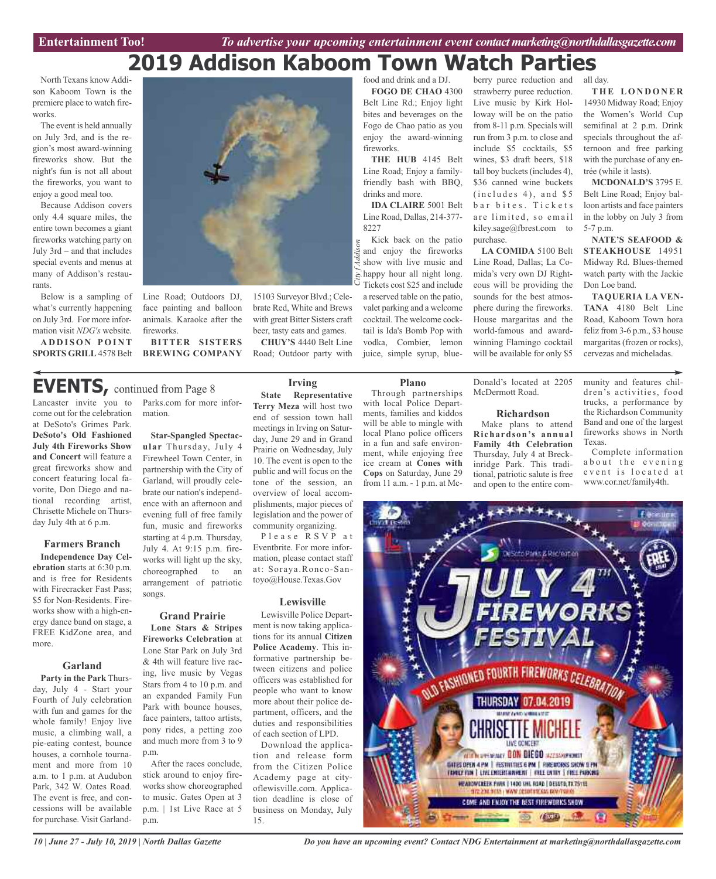# **2019 Addison Kaboom Town Watch Parties**

*City f A ddison*

North Texans know Addison Kaboom Town is the premiere place to watch fireworks.

The event is held annually on July 3rd, and is the region's most award-winning fireworks show. But the night's fun is not all about the fireworks, you want to enjoy a good meal too.

Because Addison covers only 4.4 square miles, the entire town becomes a giant fireworks watching party on July 3rd – and that includes special events and menus at many of Addison's restaurants.

Below is a sampling of what's currently happening on July 3rd. For more information visit *NDG's* website.

**A D D I S O N P O I N T SPORTS GRILL** 4578 Belt



Line Road; Outdoors DJ, face painting and balloon animals. Karaoke after the fireworks.

**BITTER SISTERS BREWING COMPANY**

### food and drink and a DJ. **FOGO DE CHAO** 4300

Belt Line Rd.; Enjoy light bites and beverages on the Fogo de Chao patio as you enjoy the award-winning fireworks.

**THE HUB** 4145 Belt Line Road; Enjoy a familyfriendly bash with BBQ, drinks and more.

**IDA CLAIRE** 5001 Belt Line Road, Dallas, 214-377- 8227

Kick back on the patio and enjoy the fireworks show with live music and happy hour all night long. Tickets cost \$25 and include a reserved table on the patio, valet parking and a welcome cocktail. The welcome cocktail is Ida's Bomb Pop with vodka, Combier, lemon juice, simple syrup, blueberry puree reduction and strawberry puree reduction. Live music by Kirk Holloway will be on the patio from 8-11 p.m. Specials will run from 3 p.m. to close and include \$5 cocktails, \$5 wines, \$3 draft beers, \$18 tall boy buckets(includes 4), \$36 canned wine buckets  $(includes 4), and $5$ bar bites. Tickets are limited, so email kiley.sage@fbrest.com to purchase.

**LA COMIDA** 5100 Belt Line Road, Dallas; La Comida's very own DJ Righteous will be providing the sounds for the best atmosphere during the fireworks. House margaritas and the world-famous and awardwinning Flamingo cocktail will be available for only \$5

all day.

**T H E L O N D O N E R** 14930 Midway Road; Enjoy the Women's World Cup semifinal at 2 p.m. Drink specials throughout the afternoon and free parking with the purchase of any entrée (while it lasts).

**MCDONALD'S** 3795 E. Belt Line Road; Enjoy balloon artists and face painters in the lobby on July 3 from 5-7 p.m.

**NATE'S SEAFOOD & STEAKHOUSE** 14951 Midway Rd. Blues-themed watch party with the Jackie Don Loe band.

**TAQUERIA LA VEN-TANA** 4180 Belt Line Road, Kaboom Town hora feliz from 3-6 p.m., \$3 house margaritas(frozen or rocks), cervezas and micheladas.

# **EVENTS,** continued from Page <sup>8</sup>

Lancaster invite you to come out for the celebration at DeSoto's Grimes Park. **DeSoto's Old Fashioned July 4th Fireworks Show and Concert** will feature a great fireworks show and concert featuring local favorite, Don Diego and national recording artist, Chrisette Michele on Thursday July 4th at 6 p.m.

#### **Farmers Branch**

**Independence Day Celebration** starts at 6:30 p.m. and is free for Residents with Firecracker Fast Pass; \$5 for Non-Residents. Fireworks show with a high-energy dance band on stage, a FREE KidZone area, and more.

#### **Garland**

**Party in the Park** Thursday, July 4 - Start your Fourth of July celebration with fun and games for the whole family! Enjoy live music, a climbing wall, a pie-eating contest, bounce houses, a cornhole tournament and more from 10 a.m. to 1 p.m. at Audubon Park, 342 W. Oates Road. The event is free, and concessions will be available for purchase. Visit Garland-

### Parks.com for more information.

**Star-Spangled Spectacular** Thursday, July 4 Firewheel Town Center, in partnership with the City of Garland, will proudly celebrate our nation's independence with an afternoon and evening full of free family fun, music and fireworks starting at 4 p.m. Thursday, July 4. At 9:15 p.m. fireworks will light up the sky, choreographed to an arrangement of patriotic songs.

#### **Grand Prairie**

**Lone Stars & Stripes Fireworks Celebration** at Lone Star Park on July 3rd & 4th will feature live racing, live music by Vegas Stars from 4 to 10 p.m. and an expanded Family Fun Park with bounce houses, face painters, tattoo artists, pony rides, a petting zoo and much more from 3 to 9 p.m.

After the races conclude, stick around to enjoy fireworks show choreographed to music. Gates Open at 3 p.m. | 1st Live Race at 5 p.m.

**Irving State Representative Terry Meza** will host two end of session town hall meetings in Irving on Saturday, June 29 and in Grand Prairie on Wednesday, July 10. The event is open to the public and will focus on the tone of the session, an overview of local accomplishments, major pieces of legislation and the power of community organizing.

15103 Surveyor Blvd.; Celebrate Red, White and Brews with great Bitter Sisters craft beer, tasty eats and games. **CHUY'S** 4440 Belt Line Road; Outdoor party with

Please RSVP at Eventbrite. For more information, please contact staff at: Soraya.Ronco-Santoyo@House.Texas.Gov

#### **Lewisville**

Lewisville Police Department is now taking applications for its annual **Citizen Police Academy**. This informative partnership between citizens and police officers was established for people who want to know more about their police department, officers, and the duties and responsibilities of each section of LPD.

Download the application and release form from the Citizen Police Academy page at cityoflewisville.com. Application deadline is close of business on Monday, July 15.

#### **Plano**

Through partnerships with local Police Departments, families and kiddos will be able to mingle with local Plano police officers in a fun and safe environment, while enjoying free ice cream at **Cones with Cops** on Saturday, June 29 from 11 a.m. - 1 p.m. at McDonald's located at 2205 McDermott Road.

#### **Richardson**

Make plans to attend **Richardson's annual Family 4th Celebration** Thursday, July 4 at Breckinridge Park. This traditional, patriotic salute is free and open to the entire community and features children's activities, food trucks, a performance by the Richardson Community Band and one of the largest fireworks shows in North Texas.

Complete information about the evening event is located at www.cor.net/family4th.



*Do you have an upcoming event? Contact NDG Entertainment at marketing@northdallasgazette.com*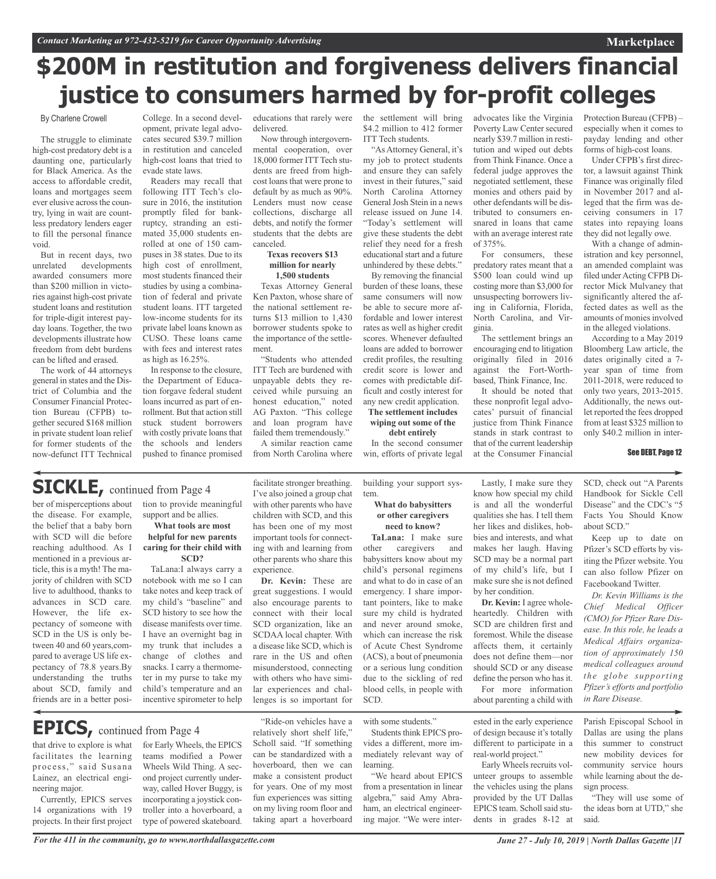# **\$200M in restitution and forgiveness delivers financial justice to consumers harmed by for-profit colleges**

#### By Charlene Crowell

The struggle to eliminate high-cost predatory debt is a daunting one, particularly for Black America. As the access to affordable credit, loans and mortgages seem ever elusive across the country, lying in wait are countless predatory lenders eager to fill the personal finance void.

But in recent days, two unrelated developments awarded consumers more than \$200 million in victories against high-cost private student loans and restitution for triple-digit interest payday loans. Together, the two developments illustrate how freedom from debt burdens can be lifted and erased.

The work of 44 attorneys general in states and the District of Columbia and the Consumer Financial Protection Bureau (CFPB) together secured \$168 million in private student loan relief for former students of the now-defunct ITT Technical

College. In a second development, private legal advocates secured \$39.7 million in restitution and canceled high-cost loans that tried to evade state laws.

Readers may recall that following ITT Tech's closure in 2016, the institution promptly filed for bankruptcy, stranding an estimated 35,000 students enrolled at one of 150 campuses in 38 states. Due to its high cost of enrollment, most students financed their studies by using a combination of federal and private student loans. ITT targeted low-income students for its private label loans known as CUSO. These loans came with fees and interest rates as high as 16.25%.

In response to the closure, the Department of Education forgave federal student loans incurred as part of enrollment. But that action still stuck student borrowers with costly private loans that the schools and lenders pushed to finance promised

educations that rarely were delivered.

Now through intergovernmental cooperation, over 18,000 former ITT Tech students are freed from highcost loans that were prone to default by as much as 90%. Lenders must now cease collections, discharge all debts, and notify the former students that the debts are canceled.

#### **Texas recovers \$13 million for nearly 1,500 students**

Texas Attorney General Ken Paxton, whose share of the national settlement returns \$13 million to 1,430 borrower students spoke to the importance of the settlement.

"Students who attended ITT Tech are burdened with unpayable debts they received while pursuing an honest education," noted AG Paxton. "This college and loan program have failed them tremendously."

A similar reaction came from North Carolina where the settlement will bring \$4.2 million to 412 former ITT Tech students.

"AsAttorney General, it's my job to protect students and ensure they can safely invest in their futures," said North Carolina Attorney General Josh Stein in a news release issued on June 14. "Today's settlement will give these students the debt relief they need for a fresh educational start and a future unhindered by these debts."

By removing the financial burden of these loans, these same consumers will now be able to secure more affordable and lower interest rates as well as higher credit scores. Whenever defaulted loans are added to borrower credit profiles, the resulting credit score is lower and comes with predictable difficult and costly interest for

any new credit application. **The settlement includes wiping out some of the debt entirely**

In the second consumer win, efforts of private legal

**What do babysitters or other caregivers need to know? TaLana:** I make sure advocates like the Virginia Poverty Law Center secured nearly \$39.7 million in restitution and wiped out debts from Think Finance. Once a federal judge approves the negotiated settlement, these monies and others paid by other defendants will be distributed to consumers ensnared in loans that came with an average interest rate of 375%.

For consumers, these predatory rates meant that a \$500 loan could wind up costing more than \$3,000 for unsuspecting borrowers living in California, Florida, North Carolina, and Virginia.

The settlement brings an encouraging end to litigation originally filed in 2016 against the Fort-Worthbased, Think Finance, Inc. It should be noted that

these nonprofit legal advocates' pursuit of financial justice from Think Finance stands in stark contrast to that of the current leadership at the Consumer Financial

Protection Bureau (CFPB) – especially when it comes to payday lending and other forms of high-cost loans.

**Marketplace**

Under CFPB's first director, a lawsuit against Think Finance was originally filed in November 2017 and alleged that the firm was deceiving consumers in 17 states into repaying loans they did not legally owe.

With a change of administration and key personnel, an amended complaint was filed under Acting CFPB Director Mick Mulvaney that significantly altered the affected dates as well as the amounts of monies involved in the alleged violations.

According to a May 2019 Bloomberg Law article, the dates originally cited a 7 year span of time from 2011-2018, were reduced to only two years, 2013-2015. Additionally, the news outlet reported the fees dropped from at least \$325 million to only \$40.2 million in inter-

#### See DEBT, Page 12

# **SICKLE,** continued from Page <sup>4</sup>

ber of misperceptions about the disease. For example, the belief that a baby born with SCD will die before reaching adulthood. As I mentioned in a previous article, this is a myth! The majority of children with SCD live to adulthood, thanks to advances in SCD care. However, the life expectancy of someone with SCD in the US is only between 40 and 60 years,compared to average US life expectancy of 78.8 years.By understanding the truths about SCD, family and friends are in a better posi-

tion to provide meaningful support and be allies.

#### **What tools are most helpful for new parents caring for their child with SCD?**

TaLana:I always carry a notebook with me so I can take notes and keep track of my child's "baseline" and SCD history to see how the disease manifests over time. I have an overnight bag in my trunk that includes a change of clothes and snacks. I carry a thermometer in my purse to take my child's temperature and an incentive spirometer to help

facilitate stronger breathing. I've also joined a group chat with other parents who have children with SCD, and this has been one of my most important tools for connecting with and learning from other parents who share this building your support system.

experience. **Dr. Kevin:** These are great suggestions. I would also encourage parents to connect with their local SCD organization, like an SCDAA local chapter. With a disease like SCD, which is rare in the US and often misunderstood, connecting with others who have similar experiences and challenges is so important for

"Ride-on vehicles have a relatively short shelf life," Scholl said. "If something can be standardized with a hoverboard, then we can make a consistent product for years. One of my most fun experiences was sitting on my living room floor and taking apart a hoverboard

**EPICS,** continued from Page <sup>4</sup>

that drive to explore is what facilitates the learning process," said Susana Lainez, an electrical engineering major.

Currently, EPICS serves 14 organizations with 19 projects. In their first project for Early Wheels, the EPICS teams modified a Power Wheels Wild Thing. A second project currently underway, called Hover Buggy, is incorporating a joystick controller into a hoverboard, a type of powered skateboard.

other caregivers and babysitters know about my child's personal regimens and what to do in case of an emergency. I share important pointers, like to make sure my child is hydrated

and never around smoke, which can increase the risk of Acute Chest Syndrome (ACS), a bout of pneumonia or a serious lung condition due to the sickling of red blood cells, in people with SCD.

with some students."

Students think EPICS provides a different, more immediately relevant way of learning.

"We heard about EPICS from a presentation in linear algebra," said Amy Abraham, an electrical engineering major. "We were inter-

Lastly, I make sure they know how special my child is and all the wonderful qualities she has. I tell them her likes and dislikes, hobbies and interests, and what makes her laugh. Having SCD may be a normal part of my child's life, but I make sure she is not defined by her condition.

**Dr. Kevin:** I agree wholeheartedly. Children with SCD are children first and foremost. While the disease affects them, it certainly does not define them—nor should SCD or any disease define the person who has it. For more information about parenting a child with

ested in the early experience of design because it's totally different to participate in a real-world project."

Early Wheels recruits volunteer groups to assemble the vehicles using the plans provided by the UT Dallas EPICS team. Scholl said students in grades 8-12 at

SCD, check out "A Parents Handbook for Sickle Cell Disease" and the CDC's "5 Facts You Should Know about SCD."

Keep up to date on Pfizer's SCD efforts by visiting the Pfizer website. You can also follow Pfizer on Facebookand Twitter.

*Dr. Kevin Williams is the Chief Medical Officer (CMO) for Pfizer Rare Disease. In this role, he leads a Medical Affairs organization of approximately 150 medical colleagues around the globe supporting Pfizer's efforts and portfolio in Rare Disease.*

Parish Episcopal School in Dallas are using the plans this summer to construct new mobility devices for community service hours while learning about the design process.

"They will use some of the ideas born at UTD," she said.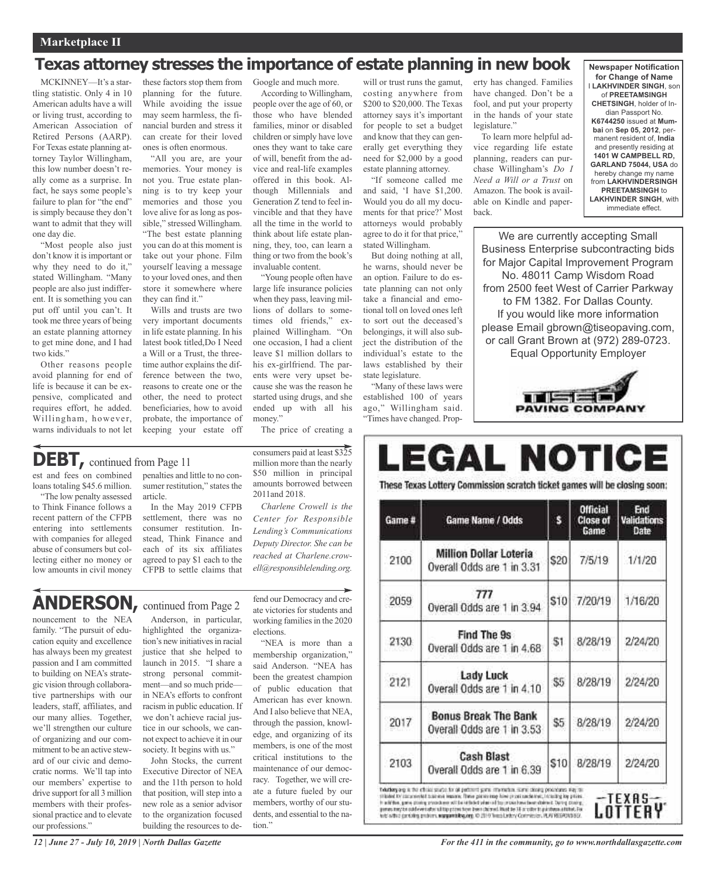#### **Marketplace II** *Contact Marketing at 972-432-5219 for Career Opportunity Advertising*

### **Texas attorney stresses the importance of estate planning in new book**

MCKINNEY—It's a startling statistic. Only 4 in 10 American adults have a will or living trust, according to American Association of Retired Persons (AARP). For Texas estate planning attorney Taylor Willingham, this low number doesn't really come as a surprise. In fact, he says some people's failure to plan for "the end" is simply because they don't want to admit that they will one day die.

"Most people also just don't know it is important or why they need to do it," stated Willingham. "Many people are also just indifferent. It is something you can put off until you can't. It took me three years of being an estate planning attorney to get mine done, and I had two kids."

Other reasons people avoid planning for end of life is because it can be expensive, complicated and requires effort, he added. Willingham, however, warns individuals to not let

these factors stop them from planning for the future. While avoiding the issue may seem harmless, the financial burden and stress it can create for their loved ones is often enormous.

"All you are, are your memories. Your money is not you. True estate planning is to try keep your memories and those you love alive for as long as possible," stressed Willingham. "The best estate planning you can do at this moment is take out your phone. Film yourself leaving a message to your loved ones, and then store it somewhere where they can find it."

Wills and trusts are two very important documents in life estate planning. In his latest book titled,Do I Need a Will or a Trust, the threetime author explains the difference between the two, reasons to create one or the other, the need to protect beneficiaries, how to avoid probate, the importance of keeping your estate off

Google and much more.

According to Willingham, people over the age of 60, or those who have blended families, minor or disabled children or simply have love ones they want to take care of will, benefit from the advice and real-life examples offered in this book. Although Millennials and Generation Z tend to feel invincible and that they have all the time in the world to think about life estate planning, they, too, can learn a thing or two from the book's invaluable content.

"Young people often have large life insurance policies when they pass, leaving millions of dollars to sometimes old friends," explained Willingham. "On one occasion, I had a client leave \$1 million dollars to his ex-girlfriend. The parents were very upset because she was the reason he started using drugs, and she ended up with all his money."

The price of creating a

consumers paid at least \$325 million more than the nearly \$50 million in principal amounts borrowed between

*Charlene Crowell is the Center for Responsible Lending's Communications Deputy Director. She can be reached at Charlene.crowell@responsiblelending.org.*

2011and 2018.

### **DEBT,** continued from Page <sup>11</sup>

est and fees on combined loans totaling \$45.6 million. "The low penalty assessed

to Think Finance follows a recent pattern of the CFPB entering into settlements with companies for alleged abuse of consumers but collecting either no money or low amounts in civil money

penalties and little to no consumer restitution," states the article.

In the May 2019 CFPB settlement, there was no consumer restitution. Instead, Think Finance and each of its six affiliates agreed to pay \$1 each to the CFPB to settle claims that

# **ANDERSON,** continued from Page <sup>2</sup>

nouncement to the NEA family. "The pursuit of education equity and excellence has always been my greatest passion and I am committed to building on NEA's strategic vision through collaborative partnerships with our leaders, staff, affiliates, and our many allies. Together, we'll strengthen our culture of organizing and our commitment to be an active steward of our civic and democratic norms. We'll tap into our members' expertise to drive support for all 3 million members with their professional practice and to elevate our professions."

Anderson, in particular, highlighted the organization's new initiatives in racial justice that she helped to

launch in 2015. "I share a strong personal commitment—and so much pride in NEA's efforts to confront racism in public education. If we don't achieve racial justice in our schools, we cannot expect to achieve it in our society. It begins with us." John Stocks, the current Executive Director of NEA and the 11th person to hold that position, will step into a new role as a senior advisor to the organization focused building the resources to defend our Democracy and create victories for students and working families in the 2020 elections.

"NEA is more than a membership organization," said Anderson. "NEA has been the greatest champion of public education that American has ever known. And I also believe that NEA, through the passion, knowledge, and organizing of its members, is one of the most critical institutions to the maintenance of our democracy. Together, we will create a future fueled by our members, worthy of our students, and essential to the nation."

will or trust runs the gamut, costing anywhere from \$200 to \$20,000. The Texas attorney says it's important for people to set a budget and know that they can generally get everything they need for \$2,000 by a good estate planning attorney.

"If someone called me and said, 'I have \$1,200. Would you do all my documents for that price?' Most attorneys would probably agree to do it for that price," stated Willingham.

But doing nothing at all, he warns, should never be an option. Failure to do estate planning can not only take a financial and emotional toll on loved ones left to sort out the deceased's belongings, it will also subject the distribution of the individual's estate to the laws established by their state legislature.

"Many of these laws were established 100 of years ago," Willingham said. "Times have changed. Property has changed. Families have changed. Don't be a fool, and put your property in the hands of your state legislature."

To learn more helpful advice regarding life estate planning, readers can purchase Willingham's *Do I Need a Will or a Trust* on Amazon. The book is available on Kindle and paperback.

**Newspaper Notification for Change of Name** I **LAKHVINDER SINGH**, son of **PREETAMSINGH CHETSINGH**, holder of Indian Passport No. **K6744250** issued at **Mumbai** on **Sep 05, 2012**, permanent resident of, **India** and presently residing at **1401 W CAMPBELL RD, GARLAND 75044, USA** do hereby change my name from **LAKHVINDERSINGH PREETAMSINGH** to

**LAKHVINDER SINGH**, with immediate effect.

We are currently accepting Small Business Enterprise subcontracting bids for Major Capital Improvement Program No. 48011 Camp Wisdom Road from 2500 feet West of Carrier Parkway to FM 1382. For Dallas County. If you would like more information please Email gbrown@tiseopaving.com, or call Grant Brown at (972) 289-0723. Equal Opportunity Employer



| Game # | Game Name / Odds                                            | s           | <b>Official</b><br><b>Close of</b><br>Game | End<br>Validations<br>Date |
|--------|-------------------------------------------------------------|-------------|--------------------------------------------|----------------------------|
| 2100   | <b>Million Dollar Loteria</b><br>Overall Odds are 1 in 3.31 | <b>\$20</b> | 7/5/19                                     | 1/1/20                     |
| 2059   | 777<br>Overall Odds are 1 in 3.94                           | S10         | 7/20/19                                    | 1/16/20                    |
| 2130   | Find The 9s<br>Overall Odds are 1 in 4.68                   | \$1         | 8/28/19                                    | 2/24/20                    |
| 2121   | Lady Luck<br>Overall Odds are 1 in 4.10                     | \$5         | 8/28/19                                    | 2/24/20                    |
| 2017   | <b>Bonus Break The Bank</b><br>Overall Odds are 1 in 3.53   | \$5         | 8/28/19                                    | 2/24/20                    |
| 2103   | <b>Cash Blast</b><br>Overall Odds are 1 in 6.39             | S10         | 8/28/19                                    | 2/24/20                    |

*12 | June 27 - July 10, 2019 | North Dallas Gazette*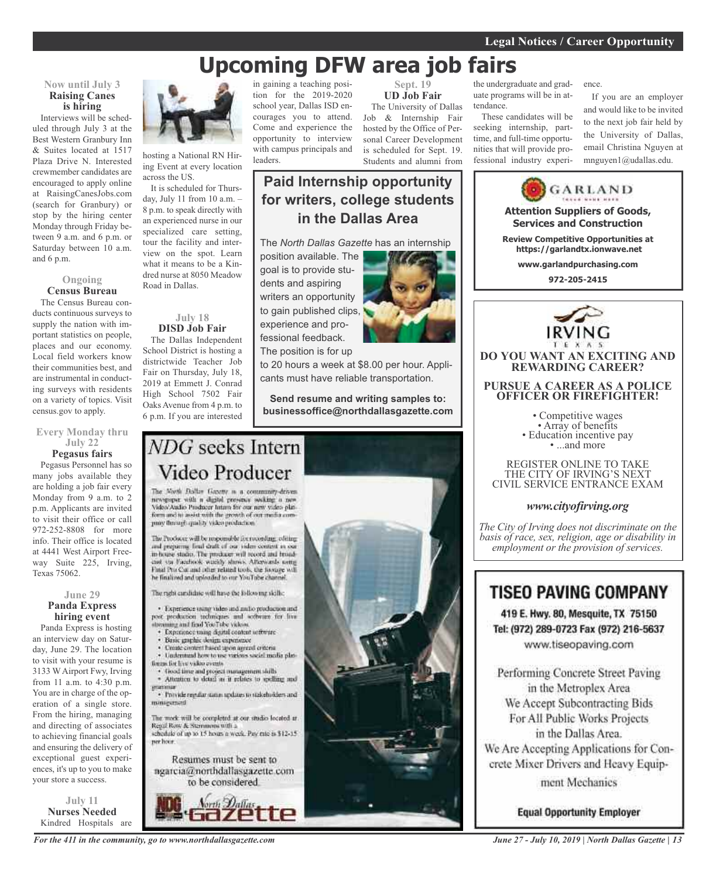# **Upcoming DFW area job fairs**

#### **Now until July 3 Raising Canes is hiring**

Interviews will be scheduled through July 3 at the Best Western Granbury Inn & Suites located at 1517 Plaza Drive N. Interested crewmember candidates are encouraged to apply online at RaisingCanesJobs.com (search for Granbury) or stop by the hiring center Monday through Friday between 9 a.m. and 6 p.m. or Saturday between 10 a.m. and 6 p.m.

#### **Ongoing Census Bureau**

The Census Bureau conducts continuous surveys to supply the nation with important statistics on people, places and our economy. Local field workers know their communities best, and are instrumental in conducting surveys with residents on a variety of topics. Visit census.gov to apply.

#### **Every Monday thru July 22 Pegasus fairs**

Pegasus Personnel has so many jobs available they are holding a job fair every Monday from 9 a.m. to 2 p.m. Applicants are invited to visit their office or call 972-252-8808 for more info. Their office is located at 4441 West Airport Freeway Suite 225, Irving, Texas 75062.

#### **June 29 Panda Express hiring event**

Panda Express is hosting an interview day on Saturday, June 29. The location to visit with your resume is 3133 WAirport Fwy, Irving from 11 a.m. to 4:30 p.m. You are in charge of the operation of a single store. From the hiring, managing and directing of associates to achieving financial goals and ensuring the delivery of exceptional guest experiences, it's up to you to make your store a success.

**July 11 Nurses Needed** Kindred Hospitals are



hosting a National RN Hiring Event at every location across the US.

It is scheduled for Thursday, July 11 from 10 a.m. – 8 p.m. to speak directly with an experienced nurse in our specialized care setting, tour the facility and interview on the spot. Learn what it means to be a Kindred nurse at 8050 Meadow Road in Dallas.

#### **July 18 DISD Job Fair**

The Dallas Independent School District is hosting a districtwide Teacher Job Fair on Thursday, July 18, 2019 at Emmett J. Conrad High School 7502 Fair Oaks Avenue from 4 p.m. to 6 p.m. If you are interested

in gaining a teaching position for the 2019-2020 school year, Dallas ISD encourages you to attend. Come and experience the opportunity to interview with campus principals and leaders.

**Sept. 19 UD Job Fair** The University of Dallas Job & Internship Fair

hosted by the Office of Personal Career Development is scheduled for Sept. 19. Students and alumni from

### **Paid Internship opportunity for writers, college students in the Dallas Area**

The *North Dallas Gazette* has an internship

position available. The goal is to provide students and aspiring writers an opportunity to gain published clips, experience and professional feedback. The position is for up



to 20 hours a week at \$8.00 per hour. Applicants must have reliable transportation.

**Send resume and writing samples to: businessoffice@northdallasgazette.com**

# NDG seeks Intern Video Producer

The North Dallas Gazette is a community-driven newspaper with a digital presence socking a new<br>Video/Audio Producer latins for our new video platform and in assist with the growth of our media company florings quality video production.

The Producer will be responsible for recording, editing and preparing final draft of our video content in our<br>in-house stadio. The producer will record and broadciat sta Facchiole worldy shows. Afterwards using Final Pro Cor and other related tools, the horage will he finalized and uploaded to our YouTube channel.

The radii cardidate will have the following skills;

· Experience using video and and/o production and post production industries and software for live streaming and final YouTube videos.

- Experience using digital content settware
- Basic graphic design expensive
- Unite content hased upon agreed criteria
- . Understand how to use various social media platfinges for live video events.
- · Good time and project management skills · Attention to detail as it relates to spelling and
- · Provide regular states updates to stakeholders and minarument

The work will be completed at our studio located at Regal Row & Stemmons with a<br>schedule of up to 15 hours a week. Pay rate is \$12-15 per hoor.

Resumes must be sent to ngarcia@northdallasgazette.com to be considered.



*For the 411 in the community, go to www.northdallasgazette.com*



the undergraduate and graduate programs will be in attendance.

These candidates will be seeking internship, parttime, and full-time opportunities that will provide professional industry experi-

ence.

If you are an employer and would like to be invited to the next job fair held by the University of Dallas, email Christina Nguyen at mnguyen1@udallas.edu.



### **TISEO PAVING COMPANY**

419 E. Hwy. 80, Mesquite, TX 75150 Tel: (972) 289-0723 Fax (972) 216-5637 www.tiseopaving.com

Performing Concrete Street Paving in the Metroplex Area We Accept Subcontracting Bids For All Public Works Projects in the Dallas Area. We Are Accepting Applications for Concrete Mixer Drivers and Heavy Equipment Mechanics

**Equal Opportunity Employer** 

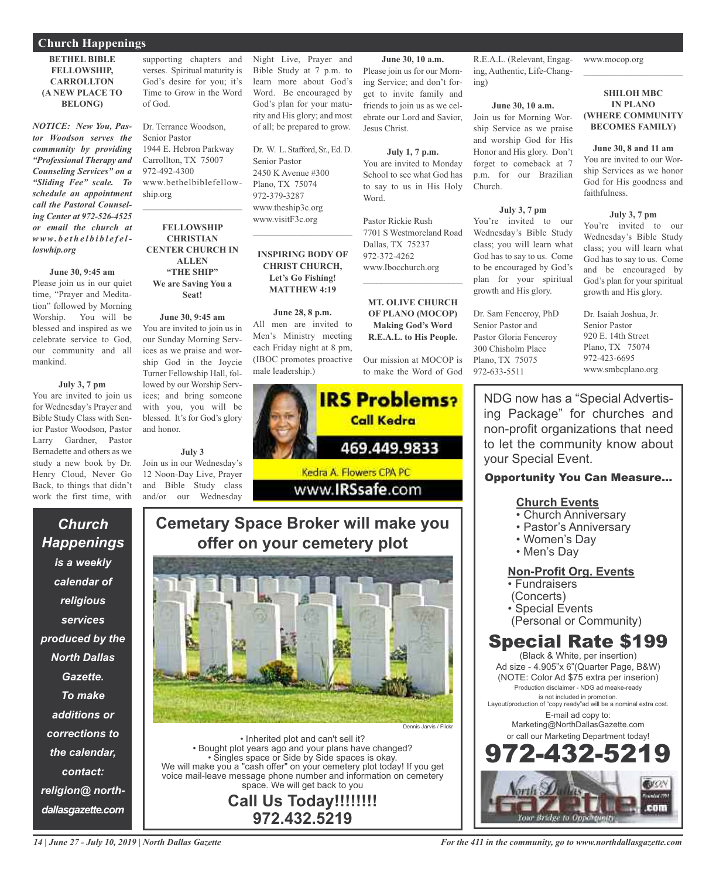#### **Church Happenings**

#### **BETHEL BIBLE FELLOWSHIP, CARROLLTON (A NEW PLACE TO BELONG)**

*NOTICE: New You, Pastor Woodson serves the community by providing "Professional Therapy and Counseling Services" on a "Sliding Fee" scale. To schedule an appointment call the Pastoral Counseling Center at 972-526-4525 or email the church at www. b e t h e l b i b l e f e lloswhip.org*

#### **June 30, 9:45 am**

Please join us in our quiet time, "Prayer and Meditation" followed by Morning Worship. You will be blessed and inspired as we celebrate service to God, our community and all mankind.

#### **July 3, 7 pm**

You are invited to join us for Wednesday's Prayer and Bible Study Class with Senior Pastor Woodson, Pastor Larry Gardner, Pastor Bernadette and others as we study a new book by Dr. Henry Cloud, Never Go Back, to things that didn't work the first time, with

*Church*

*Happenings*

*is a weekly*

*calendar of*

*religious*

*services*

*produced by the*

*North Dallas*

*Gazette.*

*To make*

*additions or*

*corrections to*

*the calendar,*

*contact:*

*religion@ north-*

*dallasgazette.com*

supporting chapters and verses. Spiritual maturity is God's desire for you; it's Time to Grow in the Word of God.

Dr. Terrance Woodson, Senior Pastor 1944 E. Hebron Parkway Carrollton, TX 75007 972-492-4300 www.bethelbiblefellowship.org  $\mathcal{L}_\text{max}$  and  $\mathcal{L}_\text{max}$  and  $\mathcal{L}_\text{max}$ 

#### **FELLOWSHIP CHRISTIAN CENTER CHURCH IN ALLEN "THE SHIP" We are Saving You a Seat!**

**June 30, 9:45 am** You are invited to join us in our Sunday Morning Services as we praise and worship God in the Joycie Turner Fellowship Hall, followed by our Worship Services; and bring someone with you, you will be blessed. It's for God's glory and honor.

#### **July 3**

Join us in our Wednesday's 12 Noon-Day Live, Prayer and Bible Study class and/or our Wednesday

Night Live, Prayer and Bible Study at 7 p.m. to learn more about God's Word. Be encouraged by God's plan for your maturity and His glory; and most of all; be prepared to grow.

Dr. W. L. Stafford, Sr., Ed. D. Senior Pastor 2450 K Avenue #300 Plano, TX 75074 972-379-3287 www.theship3c.org www.visitF3c.org  $\mathcal{L}_\text{max}$  and  $\mathcal{L}_\text{max}$  and  $\mathcal{L}_\text{max}$ 

#### **INSPIRING BODY OF CHRIST CHURCH, Let's Go Fishing! MATTHEW 4:19**

#### **June 28, 8 p.m.**

All men are invited to Men's Ministry meeting each Friday night at 8 pm, (IBOC promotes proactive male leadership.)



### **Cemetary Space Broker will make you offer on your cemetery plot**



• Inherited plot and can't sell it? • Bought plot years ago and your plans have changed? • Singles space or Side by Side spaces is okay. We will make you a "cash offer" on your cemetery plot today! If you get voice mail-leave message phone number and information on cemetery space. We will get back to you

> **Call Us Today!!!!!!!! 972.432.5219**

#### **June 30, 10 a.m.**

Please join us for our Morning Service; and don't forget to invite family and friends to join us as we celebrate our Lord and Savior, Jesus Christ.

#### **July 1, 7 p.m.**

You are invited to Monday School to see what God has to say to us in His Holy Word.

Pastor Rickie Rush 7701 S Westmoreland Road Dallas, TX 75237 972-372-4262 www.Ibocchurch.org

 $\mathcal{L}$  , and the set of the set of the set of the set of the set of the set of the set of the set of the set of the set of the set of the set of the set of the set of the set of the set of the set of the set of the set

**MT. OLIVE CHURCH OF PLANO (MOCOP) Making God's Word R.E.A.L. to His People.**

Our mission at MOCOP is to make the Word of God

R.E.A.L. (Relevant, Engaging, Authentic, Life-Changing)

#### **June 30, 10 a.m.**

Join us for Morning Worship Service as we praise and worship God for His Honor and His glory. Don't forget to comeback at 7 p.m. for our Brazilian Church.

#### **July 3, 7 pm**

You're invited to our Wednesday's Bible Study class; you will learn what God has to say to us. Come to be encouraged by God's plan for your spiritual growth and His glory.

Dr. Sam Fenceroy, PhD Senior Pastor and Pastor Gloria Fenceroy 300 Chisholm Place Plano, TX 75075 972-633-5511

www.mocop.org

#### **SHILOH MBC IN PLANO (WHERE COMMUNITY BECOMES FAMILY)**

 $\overline{\phantom{a}}$  , and the set of the set of the set of the set of the set of the set of the set of the set of the set of the set of the set of the set of the set of the set of the set of the set of the set of the set of the s

#### **June 30, 8 and 11 am**

You are invited to our Worship Services as we honor God for His goodness and faithfulness.

#### **July 3, 7 pm**

You're invited to our Wednesday's Bible Study class; you will learn what God has to say to us. Come and be encouraged by God's plan for your spiritual growth and His glory.

Dr. Isaiah Joshua, Jr. Senior Pastor 920 E. 14th Street Plano, TX 75074 972-423-6695 www.smbcplano.org

NDG now has a "Special Advertising Package" for churches and non-profit organizations that need to let the community know about your Special Event.

#### Opportunity You Can Measure...

#### **Church Events**

- Church Anniversary
- Pastor's Anniversary
- Women's Day
- Men's Day

#### **Non-Profit Org. Events**

• Fundraisers

- (Concerts)
- Special Events
- (Personal or Community)

### Special Rate \$199

(Black & White, per insertion) Ad size - 4.905"x 6"(Quarter Page, B&W) (NOTE: Color Ad \$75 extra per inserion) Production disclaimer - NDG ad meake-ready is not included in promotion. Layout/production of "copy ready"ad will be a nominal extra cost. E-mail ad copy to: Marketing@NorthDallasGazette.com or call our Marketing Department today! 972-432-5219



*14 | June 27 - July 10, 2019 | North Dallas Gazette*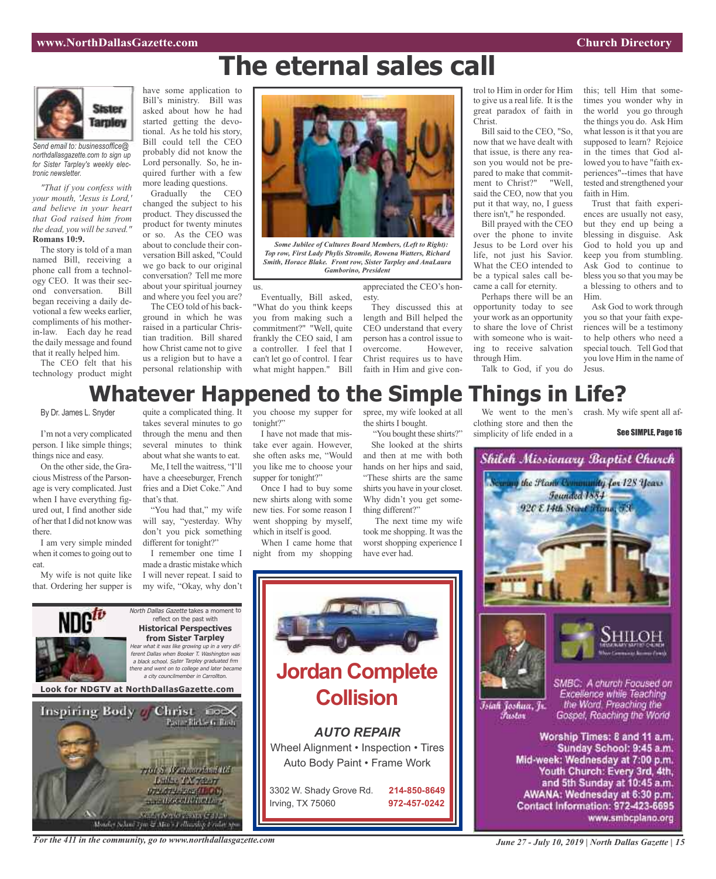# **The eternal sales call**



*Send email to: businessoffice@ northdallasgazette.com to sign up for Sister Tarpley's weekly electronic newsletter.*

*"That if you confess with your mouth, 'Jesus is Lord,' and believe in your heart that God raised him from the dead, you will be saved."* **Romans 10:9.**

The story is told of a man named Bill, receiving a phone call from a technology CEO. It was their second conversation. Bill began receiving a daily devotional a few weeks earlier, compliments of his motherin-law. Each day he read the daily message and found that it really helped him.

The CEO felt that his technology product might

have some application to Bill's ministry. Bill was asked about how he had started getting the devotional. As he told his story, Bill could tell the CEO probably did not know the Lord personally. So, he inquired further with a few more leading questions.<br>Gradually the C

the CEO changed the subject to his product. They discussed the product for twenty minutes or so. As the CEO was about to conclude their conversation Bill asked, "Could we go back to our original conversation? Tell me more about your spiritual journey and where you feel you are?

The CEO told of his background in which he was raised in a particular Christian tradition. Bill shared how Christ came not to give us a religion but to have a personal relationship with



*Some Jubilee of Cultures Board Members, (Left to Right): Top row, First Lady Phylis Stromile, Rowena Watters, Richard Smith, Horace Blake. Front row, Sister Tarpley and AnaLaura Gamborino, President*

#### us.

Eventually, Bill asked, "What do you think keeps you from making such a commitment?" "Well, quite frankly the CEO said, I am a controller. I feel that I can't let go of control. I fear what might happen." Bill

appreciated the CEO's honesty.

They discussed this at length and Bill helped the CEO understand that every person has a control issue to overcome. However, Christ requires us to have faith in Him and give con-

trol to Him in order for Him to give us a real life. It is the great paradox of faith in Christ.

Bill said to the CEO, "So, now that we have dealt with that issue, is there any reason you would not be prepared to make that commit-<br>ment to Christ?" "Well. ment to Christ?" said the CEO, now that you put it that way, no, I guess there isn't," he responded.

Bill prayed with the CEO over the phone to invite Jesus to be Lord over his life, not just his Savior. What the CEO intended to be a typical sales call became a call for eternity.

Perhaps there will be an opportunity today to see your work as an opportunity to share the love of Christ with someone who is waiting to receive salvation through Him. Talk to God, if you do

clothing store and then the simplicity of life ended in a this; tell Him that sometimes you wonder why in the world you go through the things you do. Ask Him what lesson is it that you are supposed to learn? Rejoice in the times that God allowed you to have "faith experiences"--times that have tested and strengthened your faith in Him.

Trust that faith experiences are usually not easy, but they end up being a blessing in disguise. Ask God to hold you up and keep you from stumbling. Ask God to continue to bless you so that you may be a blessing to others and to Him.

Ask God to work through you so that your faith experiences will be a testimony to help others who need a special touch. Tell God that you love Him in the name of Jesus.

#### you choose my supper for We went to the men's **Whatever Happened to the Simple Things in Life?**

By Dr. James L. Snyder

I'm not a very complicated person. I like simple things; things nice and easy.

On the other side, the Gracious Mistress of the Parsonage is very complicated. Just when I have everything figured out, I find another side of herthatI did not know was there.

I am very simple minded when it comes to going out to eat.

My wife is not quite like that. Ordering her supper is

quite a complicated thing. It takes several minutes to go through the menu and then several minutes to think about what she wants to eat.

Me, I tell the waitress, "I'll have a cheeseburger, French fries and a Diet Coke." And that's that.

"You had that," my wife will say, "yesterday. Why don't you pick something different for tonight?"

I remember one time I made a drastic mistake which I will never repeat. I said to my wife, "Okay, why don't

Pastar Rickle G. Bush.

761 S. Westmoothed Hd.

**Lullas TX 75297**<br>072.679.1262(ILOC)

**STATISTICS** 

North Dallas Gazette takes a moment to reflect on the past with **Historical Perspectives from Sister Tarpley** Hear what it was like growing up in <sup>a</sup> very different Dallas when Booker T. Washington was <sup>a</sup> black school. Sister Tarpley graduated frm there and went on to college and later became <sup>a</sup> city councilmember in Carrollton.

tonight?" I have not made that mistake ever again. However, she often asks me, "Would

you like me to choose your supper for tonight?" Once I had to buy some new shirts along with some new ties. For some reason I went shopping by myself, which in itself is good.

When I came home that night from my shopping spree, my wife looked at all the shirts I bought.

"You bought these shirts?" She looked at the shirts and then at me with both hands on her hips and said, "These shirts are the same shirts you have in your closet. Why didn't you get something different?"

The next time my wife took me shopping. It was the





crash. My wife spent all af-

See SIMPLE, Page 16



*For the 411 in the community, go to www.northdallasgazette.com*

.<br>Monder Schud Tym & Mary le ellunghey Eraba sy

**Look for NDGTV at NorthDallasGazette.com**

Inspiring Body / Christ ≘o∝

*June 27 - July 10, 2019 | North Dallas Gazette | 15*

www.smbcplano.org